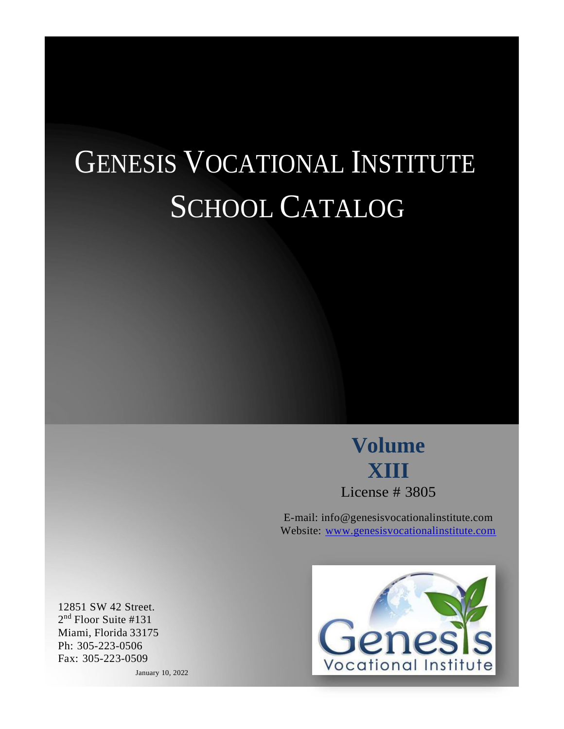# GENESIS VOCATIONAL INSTITUTE SCHOOL CATALOG

**Volume XIII** License # 3805

E-mail: [info@genesisvocationalinstitute.com](mailto:info@genesisvocationalinstitute.com) Website: [www.genesisvocationalinstitute.com](http://www.genesisvocationalinstitute.com/)



12851 SW 42 Street. 2 nd Floor Suite #131 Miami, Florida 33175 Ph: 305-223-0506 Fax: 305-223-0509

January 10, 2022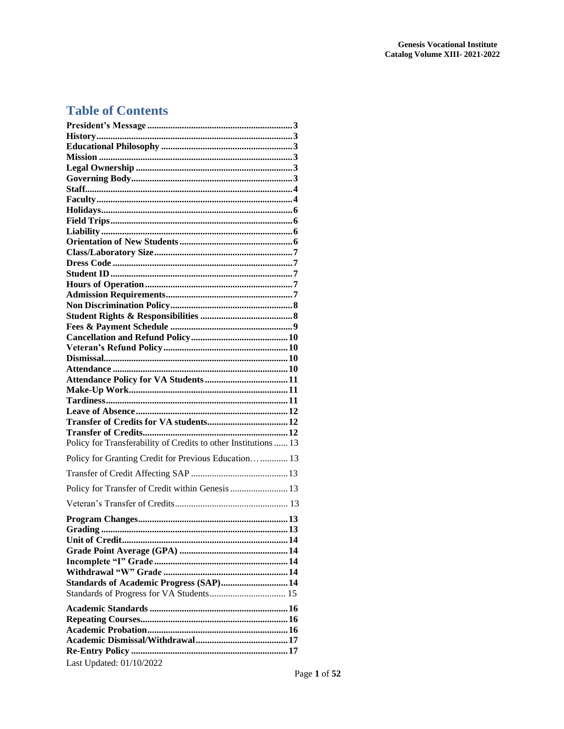## **Table of Contents**

| Policy for Transferability of Credits to other Institutions  13 |
|-----------------------------------------------------------------|
| Policy for Granting Credit for Previous Education 13            |
|                                                                 |
| Policy for Transfer of Credit within Genesis  13                |
|                                                                 |
|                                                                 |
|                                                                 |
|                                                                 |
|                                                                 |
|                                                                 |
|                                                                 |
| Standards of Academic Progress (SAP) 14                         |
|                                                                 |
|                                                                 |
|                                                                 |
|                                                                 |
|                                                                 |
|                                                                 |
| Last Updated: 01/10/2022                                        |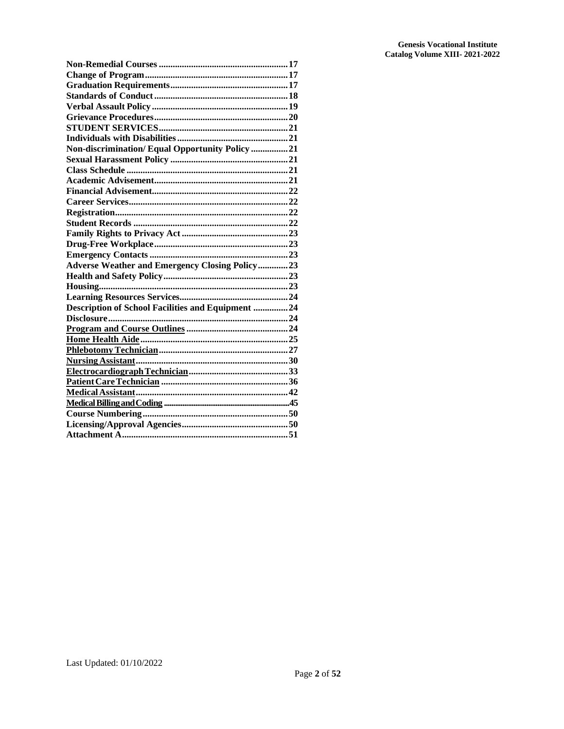| Non-discrimination/Equal Opportunity Policy 21           |
|----------------------------------------------------------|
|                                                          |
|                                                          |
|                                                          |
|                                                          |
|                                                          |
|                                                          |
|                                                          |
|                                                          |
|                                                          |
|                                                          |
| <b>Adverse Weather and Emergency Closing Policy  23</b>  |
|                                                          |
|                                                          |
|                                                          |
| <b>Description of School Facilities and Equipment 24</b> |
|                                                          |
|                                                          |
|                                                          |
|                                                          |
|                                                          |
|                                                          |
|                                                          |
|                                                          |
|                                                          |
|                                                          |
|                                                          |
|                                                          |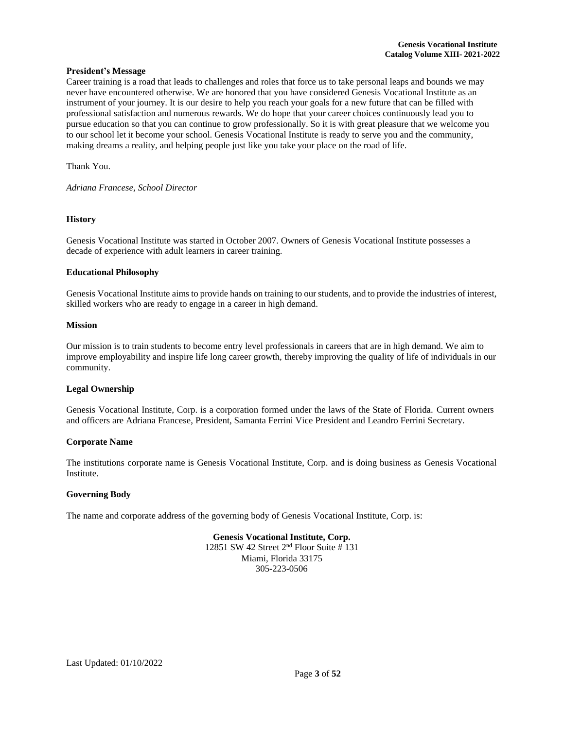#### <span id="page-3-0"></span>**President's Message**

Career training is a road that leads to challenges and roles that force us to take personal leaps and bounds we may never have encountered otherwise. We are honored that you have considered Genesis Vocational Institute as an instrument of your journey. It is our desire to help you reach your goals for a new future that can be filled with professional satisfaction and numerous rewards. We do hope that your career choices continuously lead you to pursue education so that you can continue to grow professionally. So it is with great pleasure that we welcome you to our school let it become your school. Genesis Vocational Institute is ready to serve you and the community, making dreams a reality, and helping people just like you take your place on the road of life.

Thank You.

*Adriana Francese, School Director*

#### <span id="page-3-1"></span>**History**

Genesis Vocational Institute was started in October 2007. Owners of Genesis Vocational Institute possesses a decade of experience with adult learners in career training.

#### <span id="page-3-2"></span>**Educational Philosophy**

Genesis Vocational Institute aims to provide hands on training to ourstudents, and to provide the industries of interest, skilled workers who are ready to engage in a career in high demand.

#### <span id="page-3-3"></span>**Mission**

Our mission is to train students to become entry level professionals in careers that are in high demand. We aim to improve employability and inspire life long career growth, thereby improving the quality of life of individuals in our community.

#### <span id="page-3-4"></span>**Legal Ownership**

Genesis Vocational Institute, Corp. is a corporation formed under the laws of the State of Florida. Current owners and officers are Adriana Francese, President, Samanta Ferrini Vice President and Leandro Ferrini Secretary.

#### **Corporate Name**

The institutions corporate name is Genesis Vocational Institute, Corp. and is doing business as Genesis Vocational Institute.

#### <span id="page-3-5"></span>**Governing Body**

The name and corporate address of the governing body of Genesis Vocational Institute, Corp. is:

#### **Genesis Vocational Institute, Corp.**

12851 SW 42 Street 2 nd Floor Suite # 131 Miami, Florida 33175 305-223-0506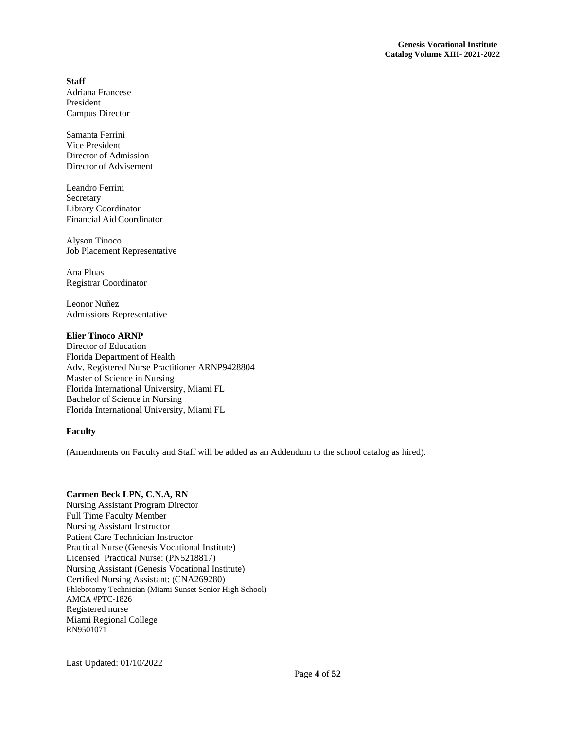## <span id="page-4-0"></span>**Staff**

Adriana Francese President Campus Director

Samanta Ferrini Vice President Director of Admission Director of Advisement

Leandro Ferrini Secretary Library Coordinator Financial Aid Coordinator

Alyson Tinoco Job Placement Representative

Ana Pluas Registrar Coordinator

Leonor Nuñez Admissions Representative

## **Elier Tinoco ARNP**

Director of Education Florida Department of Health Adv. Registered Nurse Practitioner ARNP9428804 Master of Science in Nursing Florida International University, Miami FL Bachelor of Science in Nursing Florida International University, Miami FL

## <span id="page-4-1"></span>**Faculty**

(Amendments on Faculty and Staff will be added as an Addendum to the school catalog as hired).

#### **Carmen Beck LPN, C.N.A, RN**

Nursing Assistant Program Director Full Time Faculty Member Nursing Assistant Instructor Patient Care Technician Instructor Practical Nurse (Genesis Vocational Institute) Licensed Practical Nurse: (PN5218817) Nursing Assistant (Genesis Vocational Institute) Certified Nursing Assistant: (CNA269280) Phlebotomy Technician (Miami Sunset Senior High School) AMCA #PTC-1826 Registered nurse Miami Regional College RN9501071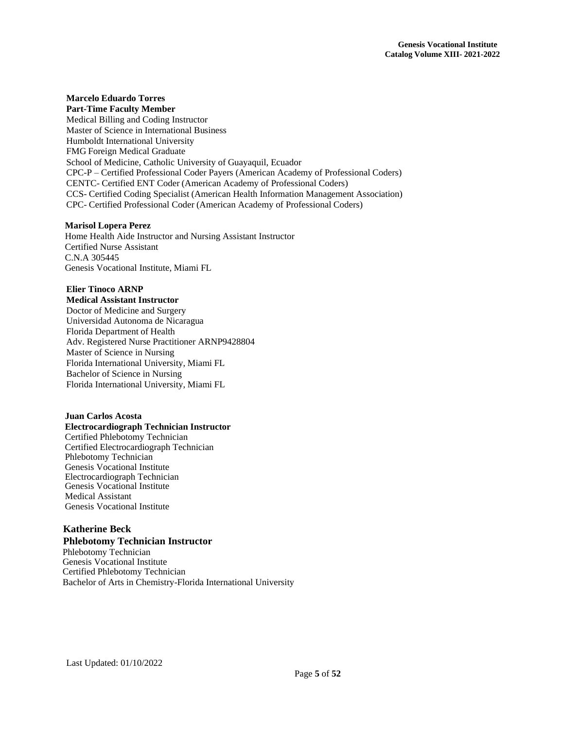#### **Marcelo Eduardo Torres Part-Time Faculty Member**

Medical Billing and Coding Instructor Master of Science in International Business Humboldt International University FMG Foreign Medical Graduate School of Medicine, Catholic University of Guayaquil, Ecuador CPC-P – Certified Professional Coder Payers (American Academy of Professional Coders) CENTC- Certified ENT Coder (American Academy of Professional Coders) CCS- Certified Coding Specialist (American Health Information Management Association) CPC- Certified Professional Coder (American Academy of Professional Coders)

## **Marisol Lopera Perez**

Home Health Aide Instructor and Nursing Assistant Instructor Certified Nurse Assistant C.N.A 305445 Genesis Vocational Institute, Miami FL

## **Elier Tinoco ARNP**

**Medical Assistant Instructor** Doctor of Medicine and Surgery Universidad Autonoma de Nicaragua Florida Department of Health Adv. Registered Nurse Practitioner ARNP9428804 Master of Science in Nursing Florida International University, Miami FL Bachelor of Science in Nursing Florida International University, Miami FL

## **Juan Carlos Acosta**

## **Electrocardiograph Technician Instructor**

 Certified Phlebotomy Technician Certified Electrocardiograph Technician Phlebotomy Technician Genesis Vocational Institute Electrocardiograph Technician Genesis Vocational Institute Medical Assistant Genesis Vocational Institute

## **Katherine Beck Phlebotomy Technician Instructor**

 Phlebotomy Technician Genesis Vocational Institute Certified Phlebotomy Technician Bachelor of Arts in Chemistry-Florida International University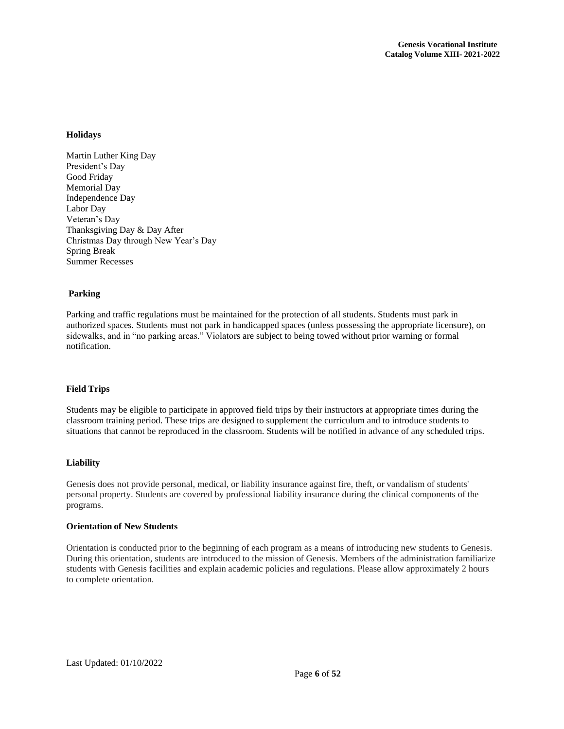## <span id="page-6-0"></span>**Holidays**

Martin Luther King Day President's Day Good Friday Memorial Day Independence Day Labor Day Veteran's Day Thanksgiving Day & Day After Christmas Day through New Year's Day Spring Break Summer Recesses

## **Parking**

Parking and traffic regulations must be maintained for the protection of all students. Students must park in authorized spaces. Students must not park in handicapped spaces (unless possessing the appropriate licensure), on sidewalks, and in "no parking areas." Violators are subject to being towed without prior warning or formal notification.

#### <span id="page-6-1"></span>**Field Trips**

Students may be eligible to participate in approved field trips by their instructors at appropriate times during the classroom training period. These trips are designed to supplement the curriculum and to introduce students to situations that cannot be reproduced in the classroom. Students will be notified in advance of any scheduled trips.

#### <span id="page-6-2"></span>**Liability**

Genesis does not provide personal, medical, or liability insurance against fire, theft, or vandalism of students' personal property. Students are covered by professional liability insurance during the clinical components of the programs.

## <span id="page-6-3"></span>**Orientationof New Students**

Orientation is conducted prior to the beginning of each program as a means of introducing new students to Genesis. During this orientation, students are introduced to the mission of Genesis. Members of the administration familiarize students with Genesis facilities and explain academic policies and regulations. Please allow approximately 2 hours to complete orientation.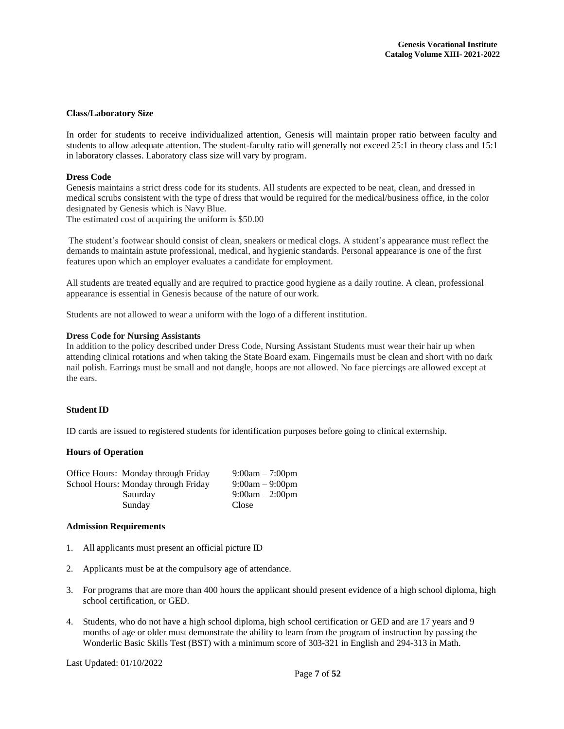#### <span id="page-7-0"></span>**Class/Laboratory Size**

In order for students to receive individualized attention, Genesis will maintain proper ratio between faculty and students to allow adequate attention. The student-faculty ratio will generally not exceed 25:1 in theory class and 15:1 in laboratory classes. Laboratory class size will vary by program.

#### <span id="page-7-1"></span>**Dress Code**

Genesis maintains a strict dress code for its students. All students are expected to be neat, clean, and dressed in medical scrubs consistent with the type of dress that would be required for the medical/business office, in the color designated by Genesis which is Navy Blue.

The estimated cost of acquiring the uniform is \$50.00

The student's footwear should consist of clean, sneakers or medical clogs. A student's appearance must reflect the demands to maintain astute professional, medical, and hygienic standards. Personal appearance is one of the first features upon which an employer evaluates a candidate for employment.

All students are treated equally and are required to practice good hygiene as a daily routine. A clean, professional appearance is essential in Genesis because of the nature of our work.

Students are not allowed to wear a uniform with the logo of a different institution.

#### **Dress Code for Nursing Assistants**

In addition to the policy described under Dress Code, Nursing Assistant Students must wear their hair up when attending clinical rotations and when taking the State Board exam. Fingernails must be clean and short with no dark nail polish. Earrings must be small and not dangle, hoops are not allowed. No face piercings are allowed except at the ears.

## <span id="page-7-2"></span>**Student ID**

ID cards are issued to registered students for identification purposes before going to clinical externship.

#### <span id="page-7-3"></span>**Hours of Operation**

| Office Hours: Monday through Friday | $9:00am - 7:00pm$ |
|-------------------------------------|-------------------|
| School Hours: Monday through Friday | $9:00am - 9:00pm$ |
| Saturday                            | $9:00am - 2:00pm$ |
| Sunday                              | Close             |

#### <span id="page-7-4"></span>**Admission Requirements**

- 1. All applicants must present an official picture ID
- 2. Applicants must be at the compulsory age of attendance.
- 3. For programs that are more than 400 hours the applicant should present evidence of a high school diploma, high school certification, or GED.
- 4. Students, who do not have a high school diploma, high school certification or GED and are 17 years and 9 months of age or older must demonstrate the ability to learn from the program of instruction by passing the Wonderlic Basic Skills Test (BST) with a minimum score of 303-321 in English and 294-313 in Math.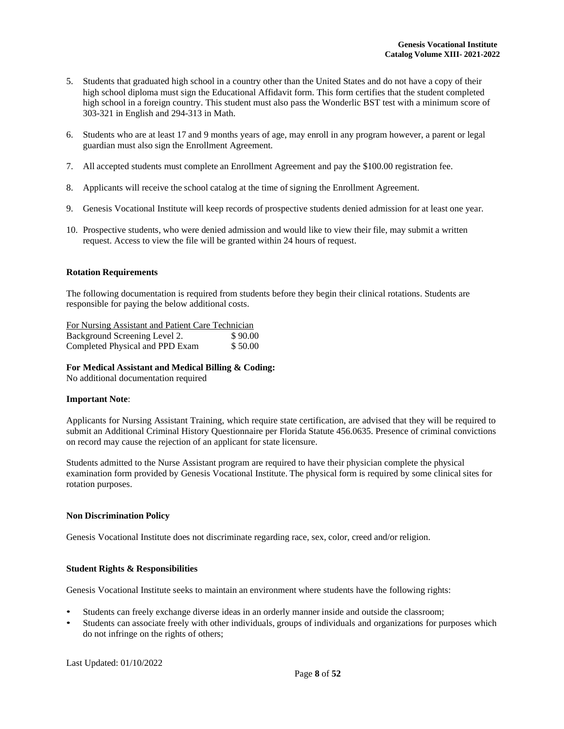- 5. Students that graduated high school in a country other than the United States and do not have a copy of their high school diploma must sign the Educational Affidavit form. This form certifies that the student completed high school in a foreign country. This student must also pass the Wonderlic BST test with a minimum score of 303-321 in English and 294-313 in Math.
- 6. Students who are at least 17 and 9 months years of age, may enroll in any program however, a parent or legal guardian must also sign the Enrollment Agreement.
- 7. All accepted students must complete an Enrollment Agreement and pay the \$100.00 registration fee.
- 8. Applicants will receive the school catalog at the time of signing the Enrollment Agreement.
- 9. Genesis Vocational Institute will keep records of prospective students denied admission for at least one year.
- 10. Prospective students, who were denied admission and would like to view their file, may submit a written request. Access to view the file will be granted within 24 hours of request.

## **Rotation Requirements**

The following documentation is required from students before they begin their clinical rotations. Students are responsible for paying the below additional costs.

| For Nursing Assistant and Patient Care Technician |         |
|---------------------------------------------------|---------|
| Background Screening Level 2.                     | \$90.00 |
| Completed Physical and PPD Exam                   | \$50.00 |

#### **For Medical Assistant and Medical Billing & Coding:**

No additional documentation required

#### **Important Note**:

Applicants for Nursing Assistant Training, which require state certification, are advised that they will be required to submit an Additional Criminal History Questionnaire per Florida Statute 456.0635. Presence of criminal convictions on record may cause the rejection of an applicant for state licensure.

Students admitted to the Nurse Assistant program are required to have their physician complete the physical examination form provided by Genesis Vocational Institute. The physical form is required by some clinical sites for rotation purposes.

#### <span id="page-8-0"></span>**Non Discrimination Policy**

Genesis Vocational Institute does not discriminate regarding race, sex, color, creed and/or religion.

#### <span id="page-8-1"></span>**Student Rights & Responsibilities**

Genesis Vocational Institute seeks to maintain an environment where students have the following rights:

- Students can freely exchange diverse ideas in an orderly manner inside and outside the classroom;
- Students can associate freely with other individuals, groups of individuals and organizations for purposes which do not infringe on the rights of others;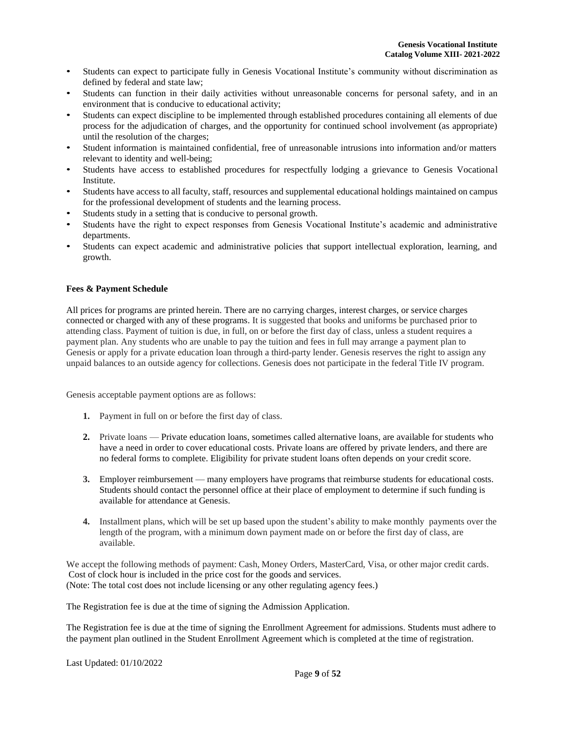- Students can expect to participate fully in Genesis Vocational Institute's community without discrimination as defined by federal and state law;
- Students can function in their daily activities without unreasonable concerns for personal safety, and in an environment that is conducive to educational activity;
- Students can expect discipline to be implemented through established procedures containing all elements of due process for the adjudication of charges, and the opportunity for continued school involvement (as appropriate) until the resolution of the charges;
- Student information is maintained confidential, free of unreasonable intrusions into information and/or matters relevant to identity and well-being;
- Students have access to established procedures for respectfully lodging a grievance to Genesis Vocational Institute.
- Students have access to all faculty, staff, resources and supplemental educational holdings maintained on campus for the professional development of students and the learning process.
- Students study in a setting that is conducive to personal growth.
- Students have the right to expect responses from Genesis Vocational Institute's academic and administrative departments.
- Students can expect academic and administrative policies that support intellectual exploration, learning, and growth.

## <span id="page-9-0"></span>**Fees & Payment Schedule**

All prices for programs are printed herein. There are no carrying charges, interest charges, or service charges connected or charged with any of these programs. It is suggested that books and uniforms be purchased prior to attending class. Payment of tuition is due, in full, on or before the first day of class, unless a student requires a payment plan. Any students who are unable to pay the tuition and fees in full may arrange a payment plan to Genesis or apply for a private education loan through a third-party lender. Genesis reserves the right to assign any unpaid balances to an outside agency for collections. Genesis does not participate in the federal Title IV program.

Genesis acceptable payment options are as follows:

- **1.** Payment in full on or before the first day of class.
- **2.** Private loans Private education loans, sometimes called alternative loans, are available for students who have a need in order to cover educational costs. Private loans are offered by private lenders, and there are no federal forms to complete. Eligibility for private student loans often depends on your credit score.
- **3.** Employer reimbursement many employers have programs that reimburse students for educational costs. Students should contact the personnel office at their place of employment to determine if such funding is available for attendance at Genesis.
- **4.** Installment plans, which will be set up based upon the student's ability to make monthly payments over the length of the program, with a minimum down payment made on or before the first day of class, are available.

We accept the following methods of payment: Cash, Money Orders, MasterCard, Visa, or other major credit cards. Cost of clock hour is included in the price cost for the goods and services. (Note: The total cost does not include licensing or any other regulating agency fees.)

The Registration fee is due at the time of signing the Admission Application.

The Registration fee is due at the time of signing the Enrollment Agreement for admissions. Students must adhere to the payment plan outlined in the Student Enrollment Agreement which is completed at the time of registration.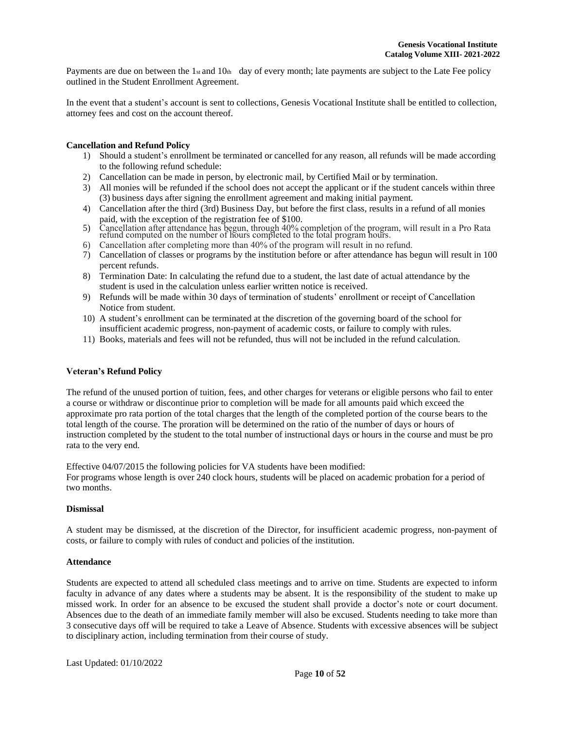Payments are due on between the 1st and 10th day of every month; late payments are subject to the Late Fee policy outlined in the Student Enrollment Agreement.

In the event that a student's account is sent to collections, Genesis Vocational Institute shall be entitled to collection, attorney fees and cost on the account thereof.

## <span id="page-10-0"></span>**Cancellation and Refund Policy**

- 1) Should a student's enrollment be terminated or cancelled for any reason, all refunds will be made according to the following refund schedule:
- 2) Cancellation can be made in person, by electronic mail, by Certified Mail or by termination.
- 3) All monies will be refunded if the school does not accept the applicant or if the student cancels within three (3) business days after signing the enrollment agreement and making initial payment.
- 4) Cancellation after the third (3rd) Business Day, but before the first class, results in a refund of all monies paid, with the exception of the registration fee of \$100.
- 5) Cancellation after attendance has begun, through 40% completion of the program, will result in a Pro Rata refund computed on the number of hours completed to the total program hours.
- 6) Cancellation after completing more than 40% of the program will result in no refund.
- 7) Cancellation of classes or programs by the institution before or after attendance has begun will result in 100 percent refunds.
- 8) Termination Date: In calculating the refund due to a student, the last date of actual attendance by the student is used in the calculation unless earlier written notice is received.
- 9) Refunds will be made within 30 days of termination of students' enrollment or receipt of Cancellation Notice from student.
- 10) A student's enrollment can be terminated at the discretion of the governing board of the school for insufficient academic progress, non-payment of academic costs, or failure to comply with rules.
- 11) Books, materials and fees will not be refunded, thus will not be included in the refund calculation.

#### <span id="page-10-1"></span>**Veteran's Refund Policy**

The refund of the unused portion of tuition, fees, and other charges for veterans or eligible persons who fail to enter a course or withdraw or discontinue prior to completion will be made for all amounts paid which exceed the approximate pro rata portion of the total charges that the length of the completed portion of the course bears to the total length of the course. The proration will be determined on the ratio of the number of days or hours of instruction completed by the student to the total number of instructional days or hours in the course and must be pro rata to the very end.

Effective 04/07/2015 the following policies for VA students have been modified:

For programs whose length is over 240 clock hours, students will be placed on academic probation for a period of two months.

#### <span id="page-10-2"></span>**Dismissal**

A student may be dismissed, at the discretion of the Director, for insufficient academic progress, non-payment of costs, or failure to comply with rules of conduct and policies of the institution.

#### <span id="page-10-3"></span>**Attendance**

Students are expected to attend all scheduled class meetings and to arrive on time. Students are expected to inform faculty in advance of any dates where a students may be absent. It is the responsibility of the student to make up missed work. In order for an absence to be excused the student shall provide a doctor's note or court document. Absences due to the death of an immediate family member will also be excused. Students needing to take more than 3 consecutive days off will be required to take a Leave of Absence. Students with excessive absences will be subject to disciplinary action, including termination from their course of study.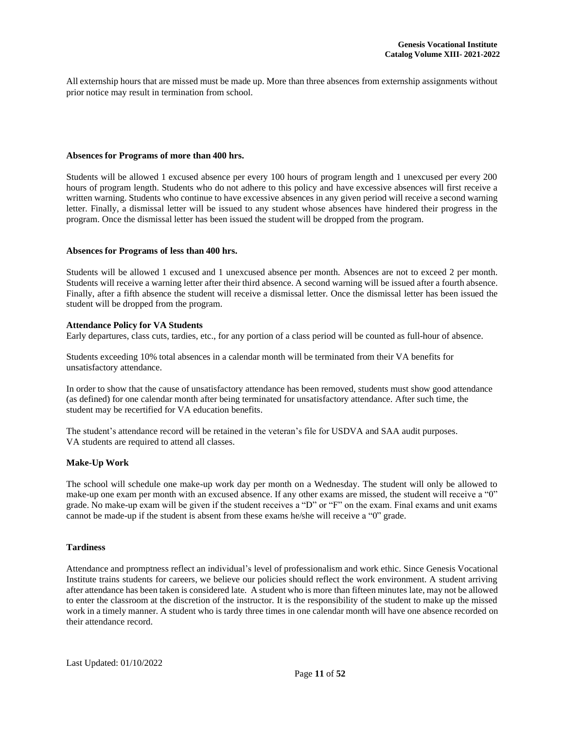All externship hours that are missed must be made up. More than three absences from externship assignments without prior notice may result in termination from school.

#### **Absences for Programs of more than 400 hrs.**

Students will be allowed 1 excused absence per every 100 hours of program length and 1 unexcused per every 200 hours of program length. Students who do not adhere to this policy and have excessive absences will first receive a written warning. Students who continue to have excessive absences in any given period will receive a second warning letter. Finally, a dismissal letter will be issued to any student whose absences have hindered their progress in the program. Once the dismissal letter has been issued the student will be dropped from the program.

#### **Absences for Programs of less than 400 hrs.**

Students will be allowed 1 excused and 1 unexcused absence per month. Absences are not to exceed 2 per month. Students will receive a warning letter after their third absence. A second warning will be issued after a fourth absence. Finally, after a fifth absence the student will receive a dismissal letter. Once the dismissal letter has been issued the student will be dropped from the program.

#### <span id="page-11-0"></span>**Attendance Policy for VA Students**

Early departures, class cuts, tardies, etc., for any portion of a class period will be counted as full-hour of absence.

Students exceeding 10% total absences in a calendar month will be terminated from their VA benefits for unsatisfactory attendance.

In order to show that the cause of unsatisfactory attendance has been removed, students must show good attendance (as defined) for one calendar month after being terminated for unsatisfactory attendance. After such time, the student may be recertified for VA education benefits.

The student's attendance record will be retained in the veteran's file for USDVA and SAA audit purposes. VA students are required to attend all classes.

#### <span id="page-11-1"></span>**Make-Up Work**

The school will schedule one make-up work day per month on a Wednesday. The student will only be allowed to make-up one exam per month with an excused absence. If any other exams are missed, the student will receive a "0" grade. No make-up exam will be given if the student receives a "D" or "F" on the exam. Final exams and unit exams cannot be made-up if the student is absent from these exams he/she will receive a "0" grade.

## <span id="page-11-2"></span>**Tardiness**

Attendance and promptness reflect an individual's level of professionalism and work ethic. Since Genesis Vocational Institute trains students for careers, we believe our policies should reflect the work environment. A student arriving after attendance has been taken is considered late. A student who is more than fifteen minutes late, may not be allowed to enter the classroom at the discretion of the instructor. It is the responsibility of the student to make up the missed work in a timely manner. A student who is tardy three times in one calendar month will have one absence recorded on their attendance record.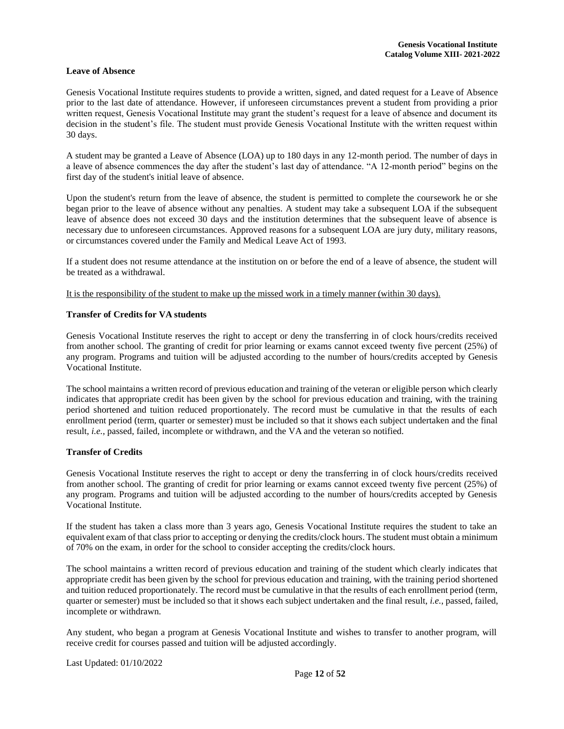### <span id="page-12-0"></span>**Leave of Absence**

Genesis Vocational Institute requires students to provide a written, signed, and dated request for a Leave of Absence prior to the last date of attendance. However, if unforeseen circumstances prevent a student from providing a prior written request, Genesis Vocational Institute may grant the student's request for a leave of absence and document its decision in the student's file. The student must provide Genesis Vocational Institute with the written request within 30 days.

A student may be granted a Leave of Absence (LOA) up to 180 days in any 12-month period. The number of days in a leave of absence commences the day after the student's last day of attendance. "A 12-month period" begins on the first day of the student's initial leave of absence.

Upon the student's return from the leave of absence, the student is permitted to complete the coursework he or she began prior to the leave of absence without any penalties. A student may take a subsequent LOA if the subsequent leave of absence does not exceed 30 days and the institution determines that the subsequent leave of absence is necessary due to unforeseen circumstances. Approved reasons for a subsequent LOA are jury duty, military reasons, or circumstances covered under the Family and Medical Leave Act of 1993.

If a student does not resume attendance at the institution on or before the end of a leave of absence, the student will be treated as a withdrawal.

It is the responsibility of the student to make up the missed work in a timely manner (within 30 days).

#### <span id="page-12-1"></span>**Transfer of Credits for VA students**

Genesis Vocational Institute reserves the right to accept or deny the transferring in of clock hours/credits received from another school. The granting of credit for prior learning or exams cannot exceed twenty five percent (25%) of any program. Programs and tuition will be adjusted according to the number of hours/credits accepted by Genesis Vocational Institute.

The school maintains a written record of previous education and training of the veteran or eligible person which clearly indicates that appropriate credit has been given by the school for previous education and training, with the training period shortened and tuition reduced proportionately. The record must be cumulative in that the results of each enrollment period (term, quarter or semester) must be included so that it shows each subject undertaken and the final result, *i.e.*, passed, failed, incomplete or withdrawn, and the VA and the veteran so notified.

#### <span id="page-12-2"></span>**Transfer of Credits**

Genesis Vocational Institute reserves the right to accept or deny the transferring in of clock hours/credits received from another school. The granting of credit for prior learning or exams cannot exceed twenty five percent (25%) of any program. Programs and tuition will be adjusted according to the number of hours/credits accepted by Genesis Vocational Institute.

If the student has taken a class more than 3 years ago, Genesis Vocational Institute requires the student to take an equivalent exam of that class prior to accepting or denying the credits/clock hours. The student must obtain a minimum of 70% on the exam, in order for the school to consider accepting the credits/clock hours.

The school maintains a written record of previous education and training of the student which clearly indicates that appropriate credit has been given by the school for previous education and training, with the training period shortened and tuition reduced proportionately. The record must be cumulative in that the results of each enrollment period (term, quarter or semester) must be included so that it shows each subject undertaken and the final result, *i.e.*, passed, failed, incomplete or withdrawn.

Any student, who began a program at Genesis Vocational Institute and wishes to transfer to another program, will receive credit for courses passed and tuition will be adjusted accordingly.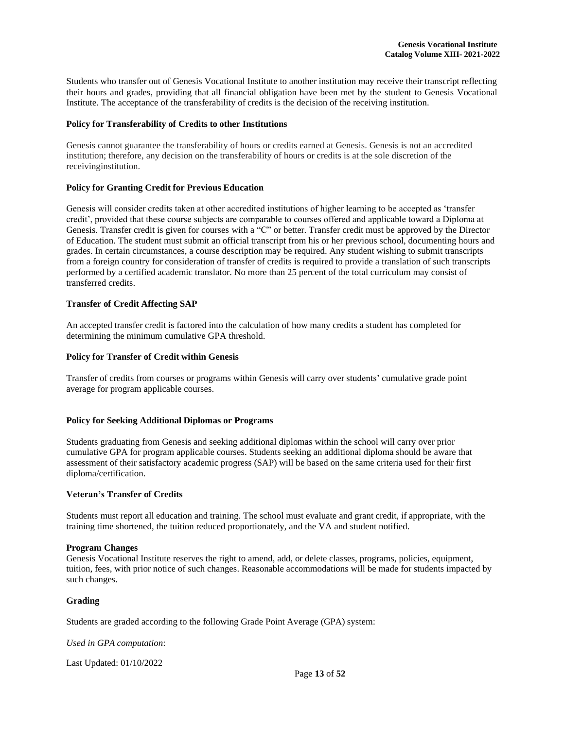Students who transfer out of Genesis Vocational Institute to another institution may receive their transcript reflecting their hours and grades, providing that all financial obligation have been met by the student to Genesis Vocational Institute. The acceptance of the transferability of credits is the decision of the receiving institution.

## <span id="page-13-0"></span>**Policy for Transferability of Credits to other Institutions**

Genesis cannot guarantee the transferability of hours or credits earned at Genesis. Genesis is not an accredited institution; therefore, any decision on the transferability of hours or credits is at the sole discretion of the receivinginstitution.

## <span id="page-13-1"></span>**Policy for Granting Credit for Previous Education**

Genesis will consider credits taken at other accredited institutions of higher learning to be accepted as 'transfer credit', provided that these course subjects are comparable to courses offered and applicable toward a Diploma at Genesis. Transfer credit is given for courses with a "C" or better. Transfer credit must be approved by the Director of Education. The student must submit an official transcript from his or her previous school, documenting hours and grades. In certain circumstances, a course description may be required. Any student wishing to submit transcripts from a foreign country for consideration of transfer of credits is required to provide a translation of such transcripts performed by a certified academic translator. No more than 25 percent of the total curriculum may consist of transferred credits.

## <span id="page-13-2"></span>**Transfer of Credit Affecting SAP**

An accepted transfer credit is factored into the calculation of how many credits a student has completed for determining the minimum cumulative GPA threshold.

## <span id="page-13-3"></span>**Policy for Transfer of Credit within Genesis**

Transfer of credits from courses or programs within Genesis will carry over students' cumulative grade point average for program applicable courses.

#### **Policy for Seeking Additional Diplomas or Programs**

Students graduating from Genesis and seeking additional diplomas within the school will carry over prior cumulative GPA for program applicable courses. Students seeking an additional diploma should be aware that assessment of their satisfactory academic progress (SAP) will be based on the same criteria used for their first diploma/certification.

#### <span id="page-13-4"></span>**Veteran's Transfer of Credits**

Students must report all education and training. The school must evaluate and grant credit, if appropriate, with the training time shortened, the tuition reduced proportionately, and the VA and student notified.

#### <span id="page-13-5"></span>**Program Changes**

Genesis Vocational Institute reserves the right to amend, add, or delete classes, programs, policies, equipment, tuition, fees, with prior notice of such changes. Reasonable accommodations will be made for students impacted by such changes.

#### <span id="page-13-6"></span>**Grading**

Students are graded according to the following Grade Point Average (GPA) system:

*Used in GPA computation*: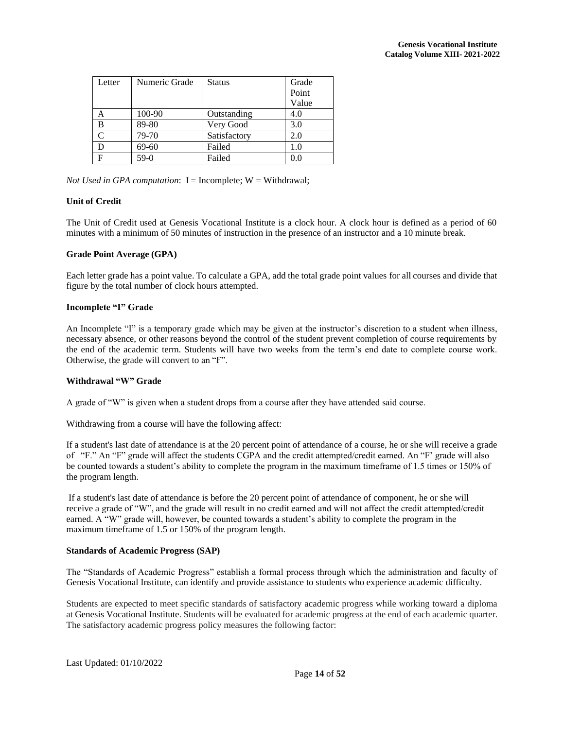| Letter | Numeric Grade | Status       | Grade |
|--------|---------------|--------------|-------|
|        |               |              | Point |
|        |               |              | Value |
| А      | 100-90        | Outstanding  | 4.0   |
| B      | 89-80         | Very Good    | 3.0   |
|        | 79-70         | Satisfactory | 2.0   |
|        | 69-60         | Failed       | 1.0   |
| Е      | $59-0$        | Failed       | 0.0   |

*Not Used* in GPA *computation*:  $I = Incomplete$ ;  $W = Withdrawal$ ;

## <span id="page-14-0"></span>**Unit of Credit**

The Unit of Credit used at Genesis Vocational Institute is a clock hour. A clock hour is defined as a period of 60 minutes with a minimum of 50 minutes of instruction in the presence of an instructor and a 10 minute break.

## <span id="page-14-1"></span>**Grade Point Average (GPA)**

Each letter grade has a point value. To calculate a GPA, add the total grade point values for all courses and divide that figure by the total number of clock hours attempted.

## <span id="page-14-2"></span>**Incomplete "I" Grade**

An Incomplete "I" is a temporary grade which may be given at the instructor's discretion to a student when illness, necessary absence, or other reasons beyond the control of the student prevent completion of course requirements by the end of the academic term. Students will have two weeks from the term's end date to complete course work. Otherwise, the grade will convert to an "F".

#### <span id="page-14-3"></span>**Withdrawal "W" Grade**

A grade of "W" is given when a student drops from a course after they have attended said course.

Withdrawing from a course will have the following affect:

If a student's last date of attendance is at the 20 percent point of attendance of a course, he or she will receive a grade of "F." An "F" grade will affect the students CGPA and the credit attempted/credit earned. An "F' grade will also be counted towards a student's ability to complete the program in the maximum timeframe of 1.5 times or 150% of the program length.

If a student's last date of attendance is before the 20 percent point of attendance of component, he or she will receive a grade of "W", and the grade will result in no credit earned and will not affect the credit attempted/credit earned. A "W" grade will, however, be counted towards a student's ability to complete the program in the maximum timeframe of 1.5 or 150% of the program length.

#### <span id="page-14-4"></span>**Standards of Academic Progress (SAP)**

The "Standards of Academic Progress" establish a formal process through which the administration and faculty of Genesis Vocational Institute, can identify and provide assistance to students who experience academic difficulty.

Students are expected to meet specific standards of satisfactory academic progress while working toward a diploma at Genesis Vocational Institute. Students will be evaluated for academic progress at the end of each academic quarter. The satisfactory academic progress policy measures the following factor: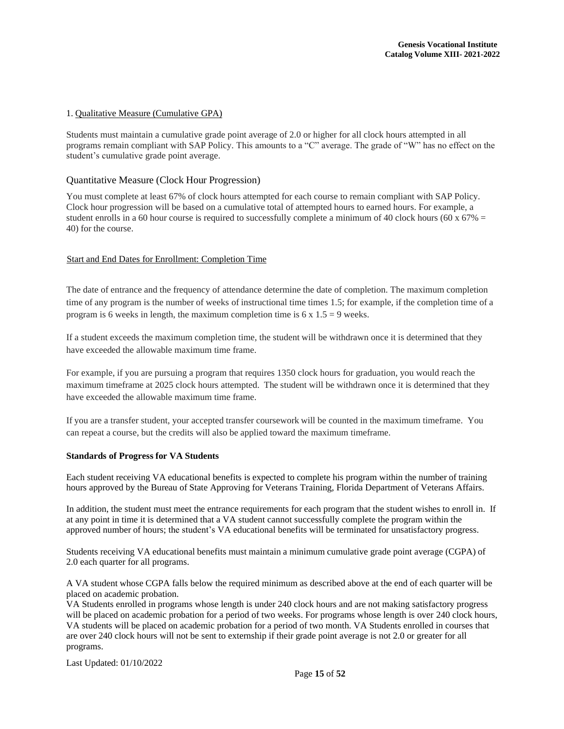## 1. Qualitative Measure (Cumulative GPA)

Students must maintain a cumulative grade point average of 2.0 or higher for all clock hours attempted in all programs remain compliant with SAP Policy. This amounts to a "C" average. The grade of "W" has no effect on the student's cumulative grade point average.

## Quantitative Measure (Clock Hour Progression)

You must complete at least 67% of clock hours attempted for each course to remain compliant with SAP Policy. Clock hour progression will be based on a cumulative total of attempted hours to earned hours. For example, a student enrolls in a 60 hour course is required to successfully complete a minimum of 40 clock hours (60 x 67% = 40) for the course.

#### Start and End Dates for Enrollment: Completion Time

The date of entrance and the frequency of attendance determine the date of completion. The maximum completion time of any program is the number of weeks of instructional time times 1.5; for example, if the completion time of a program is 6 weeks in length, the maximum completion time is  $6 \times 1.5 = 9$  weeks.

If a student exceeds the maximum completion time, the student will be withdrawn once it is determined that they have exceeded the allowable maximum time frame.

For example, if you are pursuing a program that requires 1350 clock hours for graduation, you would reach the maximum timeframe at 2025 clock hours attempted. The student will be withdrawn once it is determined that they have exceeded the allowable maximum time frame.

If you are a transfer student, your accepted transfer coursework will be counted in the maximum timeframe. You can repeat a course, but the credits will also be applied toward the maximum timeframe.

#### <span id="page-15-0"></span>**Standards of Progress for VA Students**

Each student receiving VA educational benefits is expected to complete his program within the number of training hours approved by the Bureau of State Approving for Veterans Training, Florida Department of Veterans Affairs.

In addition, the student must meet the entrance requirements for each program that the student wishes to enroll in. If at any point in time it is determined that a VA student cannot successfully complete the program within the approved number of hours; the student's VA educational benefits will be terminated for unsatisfactory progress.

Students receiving VA educational benefits must maintain a minimum cumulative grade point average (CGPA) of 2.0 each quarter for all programs.

A VA student whose CGPA falls below the required minimum as described above at the end of each quarter will be placed on academic probation.

VA Students enrolled in programs whose length is under 240 clock hours and are not making satisfactory progress will be placed on academic probation for a period of two weeks. For programs whose length is over 240 clock hours, VA students will be placed on academic probation for a period of two month. VA Students enrolled in courses that are over 240 clock hours will not be sent to externship if their grade point average is not 2.0 or greater for all programs.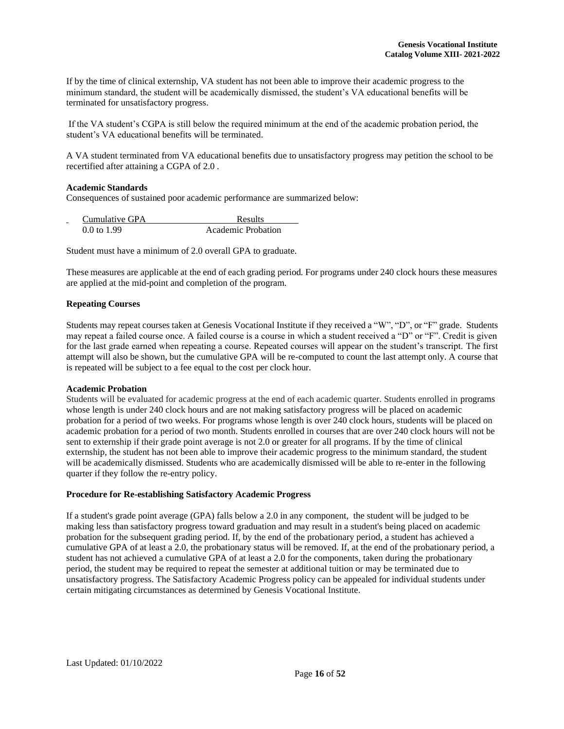If by the time of clinical externship, VA student has not been able to improve their academic progress to the minimum standard, the student will be academically dismissed, the student's VA educational benefits will be terminated for unsatisfactory progress.

If the VA student's CGPA is still below the required minimum at the end of the academic probation period, the student's VA educational benefits will be terminated.

A VA student terminated from VA educational benefits due to unsatisfactory progress may petition the school to be recertified after attaining a CGPA of 2.0 .

#### <span id="page-16-0"></span>**Academic Standards**

Consequences of sustained poor academic performance are summarized below:

| Cumulative GPA<br>$\overline{\phantom{0}}$ | Results            |
|--------------------------------------------|--------------------|
| $0.0 \text{ to } 1.99$                     | Academic Probation |

Student must have a minimum of 2.0 overall GPA to graduate.

These measures are applicable at the end of each grading period. For programs under 240 clock hours these measures are applied at the mid-point and completion of the program.

#### <span id="page-16-1"></span>**Repeating Courses**

Students may repeat courses taken at Genesis Vocational Institute if they received a "W", "D", or "F" grade. Students may repeat a failed course once. A failed course is a course in which a student received a "D" or "F". Credit is given for the last grade earned when repeating a course. Repeated courses will appear on the student's transcript. The first attempt will also be shown, but the cumulative GPA will be re-computed to count the last attempt only. A course that is repeated will be subject to a fee equal to the cost per clock hour.

#### <span id="page-16-2"></span>**Academic Probation**

Students will be evaluated for academic progress at the end of each academic quarter. Students enrolled in programs whose length is under 240 clock hours and are not making satisfactory progress will be placed on academic probation for a period of two weeks. For programs whose length is over 240 clock hours, students will be placed on academic probation for a period of two month. Students enrolled in courses that are over 240 clock hours will not be sent to externship if their grade point average is not 2.0 or greater for all programs. If by the time of clinical externship, the student has not been able to improve their academic progress to the minimum standard, the student will be academically dismissed. Students who are academically dismissed will be able to re-enter in the following quarter if they follow the re-entry policy.

#### **Procedure for Re-establishing Satisfactory Academic Progress**

If a student's grade point average (GPA) falls below a 2.0 in any component, the student will be judged to be making less than satisfactory progress toward graduation and may result in a student's being placed on academic probation for the subsequent grading period. If, by the end of the probationary period, a student has achieved a cumulative GPA of at least a 2.0, the probationary status will be removed. If, at the end of the probationary period, a student has not achieved a cumulative GPA of at least a 2.0 for the components, taken during the probationary period, the student may be required to repeat the semester at additional tuition or may be terminated due to unsatisfactory progress. The Satisfactory Academic Progress policy can be appealed for individual students under certain mitigating circumstances as determined by Genesis Vocational Institute.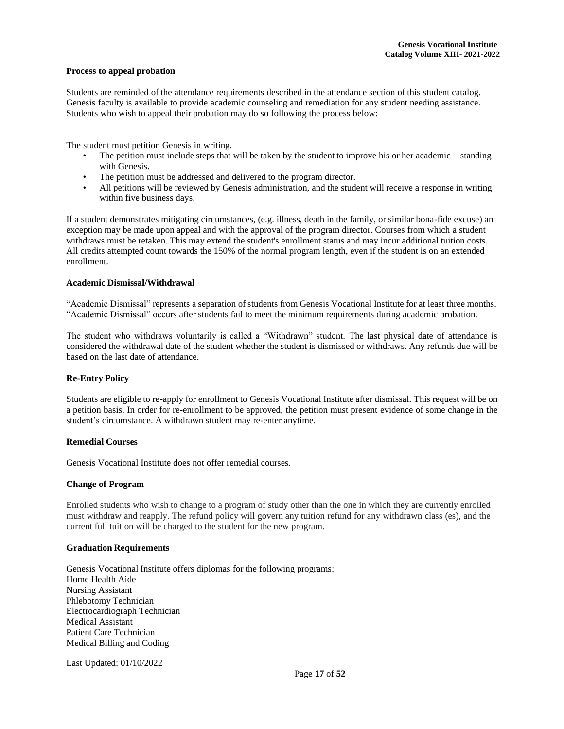#### **Process to appeal probation**

Students are reminded of the attendance requirements described in the attendance section of this student catalog. Genesis faculty is available to provide academic counseling and remediation for any student needing assistance. Students who wish to appeal their probation may do so following the process below:

The student must petition Genesis in writing.

- The petition must include steps that will be taken by the student to improve his or her academic standing with Genesis.
- The petition must be addressed and delivered to the program director.
- All petitions will be reviewed by Genesis administration, and the student will receive a response in writing within five business days.

If a student demonstrates mitigating circumstances, (e.g. illness, death in the family, or similar bona-fide excuse) an exception may be made upon appeal and with the approval of the program director. Courses from which a student withdraws must be retaken. This may extend the student's enrollment status and may incur additional tuition costs. All credits attempted count towards the 150% of the normal program length, even if the student is on an extended enrollment.

### <span id="page-17-0"></span>**Academic Dismissal/Withdrawal**

"Academic Dismissal" represents a separation of students from Genesis Vocational Institute for at least three months. "Academic Dismissal" occurs after students fail to meet the minimum requirements during academic probation.

The student who withdraws voluntarily is called a "Withdrawn" student. The last physical date of attendance is considered the withdrawal date of the student whether the student is dismissed or withdraws. Any refunds due will be based on the last date of attendance.

#### <span id="page-17-1"></span>**Re-Entry Policy**

Students are eligible to re-apply for enrollment to Genesis Vocational Institute after dismissal. This request will be on a petition basis. In order for re-enrollment to be approved, the petition must present evidence of some change in the student's circumstance. A withdrawn student may re-enter anytime.

#### **Remedial Courses**

Genesis Vocational Institute does not offer remedial courses.

#### <span id="page-17-2"></span>**Change of Program**

Enrolled students who wish to change to a program of study other than the one in which they are currently enrolled must withdraw and reapply. The refund policy will govern any tuition refund for any withdrawn class (es), and the current full tuition will be charged to the student for the new program.

#### <span id="page-17-3"></span>**Graduation Requirements**

Genesis Vocational Institute offers diplomas for the following programs: Home Health Aide Nursing Assistant Phlebotomy Technician Electrocardiograph Technician Medical Assistant Patient Care Technician Medical Billing and Coding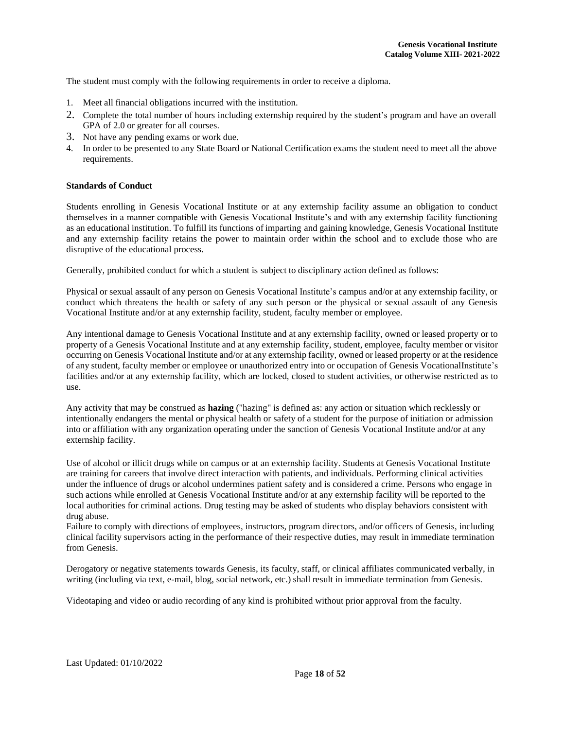The student must comply with the following requirements in order to receive a diploma.

- 1. Meet all financial obligations incurred with the institution.
- 2. Complete the total number of hours including externship required by the student's program and have an overall GPA of 2.0 or greater for all courses.
- 3. Not have any pending exams or work due.
- 4. In order to be presented to any State Board or National Certification exams the student need to meet all the above requirements.

## <span id="page-18-0"></span>**Standards of Conduct**

Students enrolling in Genesis Vocational Institute or at any externship facility assume an obligation to conduct themselves in a manner compatible with Genesis Vocational Institute's and with any externship facility functioning as an educational institution. To fulfill its functions of imparting and gaining knowledge, Genesis Vocational Institute and any externship facility retains the power to maintain order within the school and to exclude those who are disruptive of the educational process.

Generally, prohibited conduct for which a student is subject to disciplinary action defined as follows:

Physical or sexual assault of any person on Genesis Vocational Institute's campus and/or at any externship facility, or conduct which threatens the health or safety of any such person or the physical or sexual assault of any Genesis Vocational Institute and/or at any externship facility, student, faculty member or employee.

Any intentional damage to Genesis Vocational Institute and at any externship facility, owned or leased property or to property of a Genesis Vocational Institute and at any externship facility, student, employee, faculty member or visitor occurring on Genesis Vocational Institute and/or at any externship facility, owned or leased property or at the residence of any student, faculty member or employee or unauthorized entry into or occupation of Genesis VocationalInstitute's facilities and/or at any externship facility, which are locked, closed to student activities, or otherwise restricted as to use.

Any activity that may be construed as **hazing** ("hazing" is defined as: any action or situation which recklessly or intentionally endangers the mental or physical health or safety of a student for the purpose of initiation or admission into or affiliation with any organization operating under the sanction of Genesis Vocational Institute and/or at any externship facility.

Use of alcohol or illicit drugs while on campus or at an externship facility. Students at Genesis Vocational Institute are training for careers that involve direct interaction with patients, and individuals. Performing clinical activities under the influence of drugs or alcohol undermines patient safety and is considered a crime. Persons who engage in such actions while enrolled at Genesis Vocational Institute and/or at any externship facility will be reported to the local authorities for criminal actions. Drug testing may be asked of students who display behaviors consistent with drug abuse.

Failure to comply with directions of employees, instructors, program directors, and/or officers of Genesis, including clinical facility supervisors acting in the performance of their respective duties, may result in immediate termination from Genesis.

Derogatory or negative statements towards Genesis, its faculty, staff, or clinical affiliates communicated verbally, in writing (including via text, e-mail, blog, social network, etc.) shall result in immediate termination from Genesis.

Videotaping and video or audio recording of any kind is prohibited without prior approval from the faculty.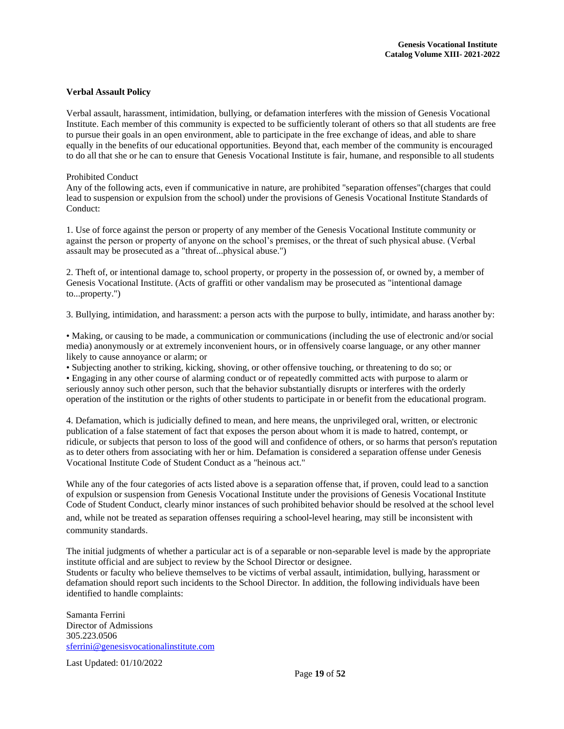#### <span id="page-19-0"></span>**Verbal Assault Policy**

Verbal assault, harassment, intimidation, bullying, or defamation interferes with the mission of Genesis Vocational Institute. Each member of this community is expected to be sufficiently tolerant of others so that all students are free to pursue their goals in an open environment, able to participate in the free exchange of ideas, and able to share equally in the benefits of our educational opportunities. Beyond that, each member of the community is encouraged to do all that she or he can to ensure that Genesis Vocational Institute is fair, humane, and responsible to all students

#### Prohibited Conduct

Any of the following acts, even if communicative in nature, are prohibited "separation offenses"(charges that could lead to suspension or expulsion from the school) under the provisions of Genesis Vocational Institute Standards of Conduct:

1. Use of force against the person or property of any member of the Genesis Vocational Institute community or against the person or property of anyone on the school's premises, or the threat of such physical abuse. (Verbal assault may be prosecuted as a "threat of...physical abuse.")

2. Theft of, or intentional damage to, school property, or property in the possession of, or owned by, a member of Genesis Vocational Institute. (Acts of graffiti or other vandalism may be prosecuted as "intentional damage to...property.")

3. Bullying, intimidation, and harassment: a person acts with the purpose to bully, intimidate, and harass another by:

• Making, or causing to be made, a communication or communications (including the use of electronic and/or social media) anonymously or at extremely inconvenient hours, or in offensively coarse language, or any other manner likely to cause annoyance or alarm; or

• Subjecting another to striking, kicking, shoving, or other offensive touching, or threatening to do so; or • Engaging in any other course of alarming conduct or of repeatedly committed acts with purpose to alarm or seriously annoy such other person, such that the behavior substantially disrupts or interferes with the orderly operation of the institution or the rights of other students to participate in or benefit from the educational program.

4. Defamation, which is judicially defined to mean, and here means, the unprivileged oral, written, or electronic publication of a false statement of fact that exposes the person about whom it is made to hatred, contempt, or ridicule, or subjects that person to loss of the good will and confidence of others, or so harms that person's reputation as to deter others from associating with her or him. Defamation is considered a separation offense under Genesis Vocational Institute Code of Student Conduct as a "heinous act."

While any of the four categories of acts listed above is a separation offense that, if proven, could lead to a sanction of expulsion or suspension from Genesis Vocational Institute under the provisions of Genesis Vocational Institute Code of Student Conduct, clearly minor instances of such prohibited behavior should be resolved at the school level

and, while not be treated as separation offenses requiring a school-level hearing, may still be inconsistent with community standards.

The initial judgments of whether a particular act is of a separable or non-separable level is made by the appropriate institute official and are subject to review by the School Director or designee.

Students or faculty who believe themselves to be victims of verbal assault, intimidation, bullying, harassment or defamation should report such incidents to the School Director. In addition, the following individuals have been identified to handle complaints:

Samanta Ferrini Director of Admissions 305.223.0506 [sferrini@genesisvocationalinstitute.com](mailto:sferrini@genesisvocationalinstitute.com)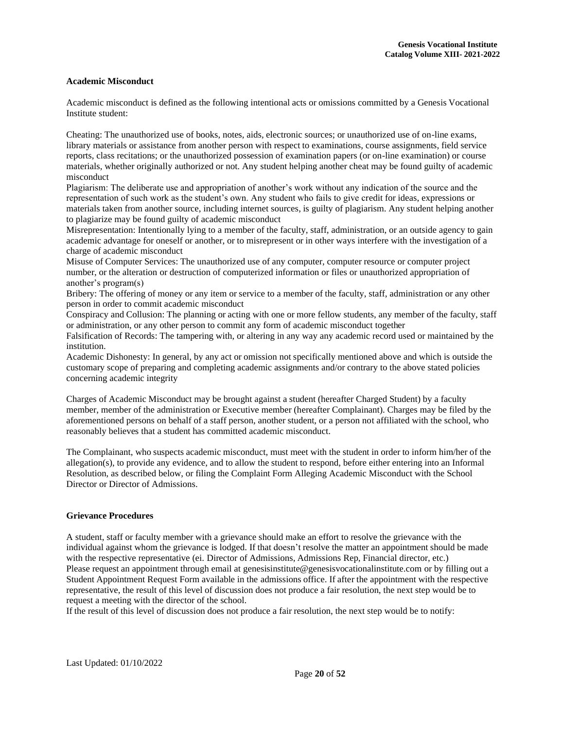## **Academic Misconduct**

Academic misconduct is defined as the following intentional acts or omissions committed by a Genesis Vocational Institute student:

Cheating: The unauthorized use of books, notes, aids, electronic sources; or unauthorized use of on-line exams, library materials or assistance from another person with respect to examinations, course assignments, field service reports, class recitations; or the unauthorized possession of examination papers (or on-line examination) or course materials, whether originally authorized or not. Any student helping another cheat may be found guilty of academic misconduct

Plagiarism: The deliberate use and appropriation of another's work without any indication of the source and the representation of such work as the student's own. Any student who fails to give credit for ideas, expressions or materials taken from another source, including internet sources, is guilty of plagiarism. Any student helping another to plagiarize may be found guilty of academic misconduct

Misrepresentation: Intentionally lying to a member of the faculty, staff, administration, or an outside agency to gain academic advantage for oneself or another, or to misrepresent or in other ways interfere with the investigation of a charge of academic misconduct

Misuse of Computer Services: The unauthorized use of any computer, computer resource or computer project number, or the alteration or destruction of computerized information or files or unauthorized appropriation of another's program(s)

Bribery: The offering of money or any item or service to a member of the faculty, staff, administration or any other person in order to commit academic misconduct

Conspiracy and Collusion: The planning or acting with one or more fellow students, any member of the faculty, staff or administration, or any other person to commit any form of academic misconduct together

Falsification of Records: The tampering with, or altering in any way any academic record used or maintained by the institution.

Academic Dishonesty: In general, by any act or omission not specifically mentioned above and which is outside the customary scope of preparing and completing academic assignments and/or contrary to the above stated policies concerning academic integrity

Charges of Academic Misconduct may be brought against a student (hereafter Charged Student) by a faculty member, member of the administration or Executive member (hereafter Complainant). Charges may be filed by the aforementioned persons on behalf of a staff person, another student, or a person not affiliated with the school, who reasonably believes that a student has committed academic misconduct.

The Complainant, who suspects academic misconduct, must meet with the student in order to inform him/her of the allegation(s), to provide any evidence, and to allow the student to respond, before either entering into an Informal Resolution, as described below, or filing the Complaint Form Alleging Academic Misconduct with the School Director or Director of Admissions.

## <span id="page-20-0"></span>**Grievance Procedures**

A student, staff or faculty member with a grievance should make an effort to resolve the grievance with the individual against whom the grievance is lodged. If that doesn't resolve the matter an appointment should be made with the respective representative (ei. Director of Admissions, Admissions Rep, Financial director, etc.) Please request an appointment through email at [genesisinstitute@genesisvocationalinstitute.com o](mailto:genesisinstitute@genesisvocationalinstitute.com)r by filling out a Student Appointment Request Form available in the admissions office. If after the appointment with the respective representative, the result of this level of discussion does not produce a fair resolution, the next step would be to request a meeting with the director of the school.

If the result of this level of discussion does not produce a fair resolution, the next step would be to notify: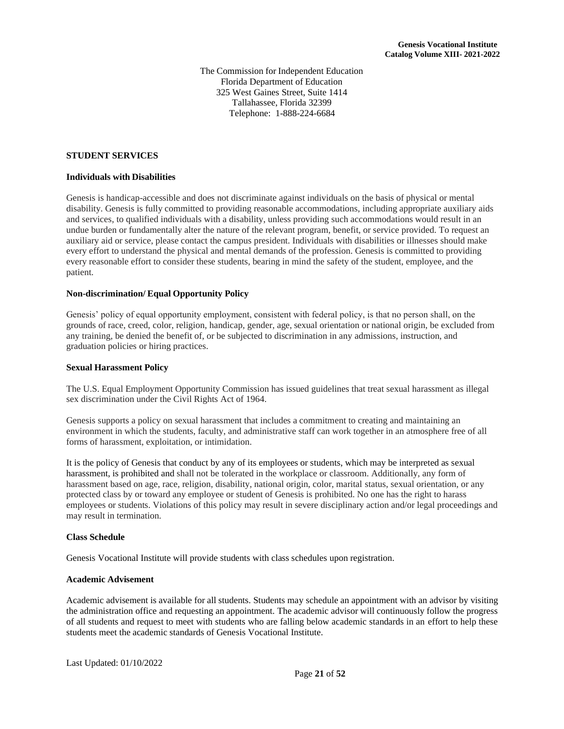The Commission for Independent Education Florida Department of Education 325 West Gaines Street, Suite 1414 Tallahassee, Florida 32399 Telephone: 1-888-224-6684

#### <span id="page-21-0"></span>**STUDENT SERVICES**

#### <span id="page-21-1"></span>**Individuals with Disabilities**

Genesis is handicap-accessible and does not discriminate against individuals on the basis of physical or mental disability. Genesis is fully committed to providing reasonable accommodations, including appropriate auxiliary aids and services, to qualified individuals with a disability, unless providing such accommodations would result in an undue burden or fundamentally alter the nature of the relevant program, benefit, or service provided. To request an auxiliary aid or service, please contact the campus president. Individuals with disabilities or illnesses should make every effort to understand the physical and mental demands of the profession. Genesis is committed to providing every reasonable effort to consider these students, bearing in mind the safety of the student, employee, and the patient.

#### <span id="page-21-2"></span>**Non-discrimination/ Equal Opportunity Policy**

Genesis' policy of equal opportunity employment, consistent with federal policy, is that no person shall, on the grounds of race, creed, color, religion, handicap, gender, age, sexual orientation or national origin, be excluded from any training, be denied the benefit of, or be subjected to discrimination in any admissions, instruction, and graduation policies or hiring practices.

## <span id="page-21-3"></span>**Sexual Harassment Policy**

The U.S. Equal Employment Opportunity Commission has issued guidelines that treat sexual harassment as illegal sex discrimination under the Civil Rights Act of 1964.

Genesis supports a policy on sexual harassment that includes a commitment to creating and maintaining an environment in which the students, faculty, and administrative staff can work together in an atmosphere free of all forms of harassment, exploitation, or intimidation.

It is the policy of Genesis that conduct by any of its employees or students, which may be interpreted as sexual harassment, is prohibited and shall not be tolerated in the workplace or classroom. Additionally, any form of harassment based on age, race, religion, disability, national origin, color, marital status, sexual orientation, or any protected class by or toward any employee or student of Genesis is prohibited. No one has the right to harass employees or students. Violations of this policy may result in severe disciplinary action and/or legal proceedings and may result in termination.

#### <span id="page-21-4"></span>**Class Schedule**

Genesis Vocational Institute will provide students with class schedules upon registration.

#### <span id="page-21-5"></span>**Academic Advisement**

Academic advisement is available for all students. Students may schedule an appointment with an advisor by visiting the administration office and requesting an appointment. The academic advisor will continuously follow the progress of all students and request to meet with students who are falling below academic standards in an effort to help these students meet the academic standards of Genesis Vocational Institute.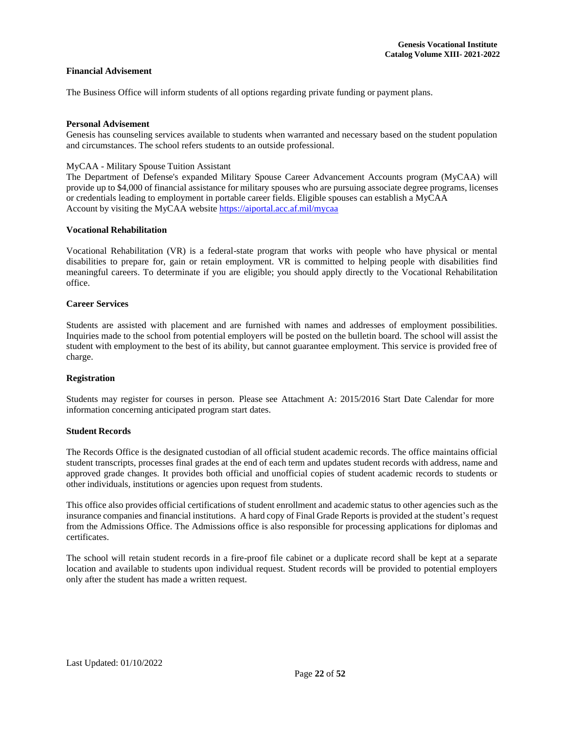## <span id="page-22-0"></span>**Financial Advisement**

The Business Office will inform students of all options regarding private funding or payment plans.

## **Personal Advisement**

Genesis has counseling services available to students when warranted and necessary based on the student population and circumstances. The school refers students to an outside professional.

## MyCAA - Military Spouse Tuition Assistant

The Department of Defense's expanded Military Spouse Career Advancement Accounts program (MyCAA) will provide up to \$4,000 of financial assistance for military spouses who are pursuing associate degree programs, licenses or credentials leading to employment in portable career fields. Eligible spouses can establish a MyCAA Account by visiting the MyCAA website <https://aiportal.acc.af.mil/mycaa>

#### **Vocational Rehabilitation**

Vocational Rehabilitation (VR) is a federal-state program that works with people who have physical or mental disabilities to prepare for, gain or retain employment. VR is committed to helping people with disabilities find meaningful careers. To determinate if you are eligible; you should apply directly to the Vocational Rehabilitation office.

## <span id="page-22-1"></span>**Career Services**

Students are assisted with placement and are furnished with names and addresses of employment possibilities. Inquiries made to the school from potential employers will be posted on the bulletin board. The school will assist the student with employment to the best of its ability, but cannot guarantee employment. This service is provided free of charge.

#### <span id="page-22-2"></span>**Registration**

Students may register for courses in person. Please see Attachment A: 2015/2016 Start Date Calendar for more information concerning anticipated program start dates.

## <span id="page-22-3"></span>**Student Records**

The Records Office is the designated custodian of all official student academic records. The office maintains official student transcripts, processes final grades at the end of each term and updates student records with address, name and approved grade changes. It provides both official and unofficial copies of student academic records to students or other individuals, institutions or agencies upon request from students.

This office also provides official certifications of student enrollment and academic status to other agencies such as the insurance companies and financial institutions. A hard copy of Final Grade Reports is provided at the student's request from the Admissions Office. The Admissions office is also responsible for processing applications for diplomas and certificates.

The school will retain student records in a fire-proof file cabinet or a duplicate record shall be kept at a separate location and available to students upon individual request. Student records will be provided to potential employers only after the student has made a written request.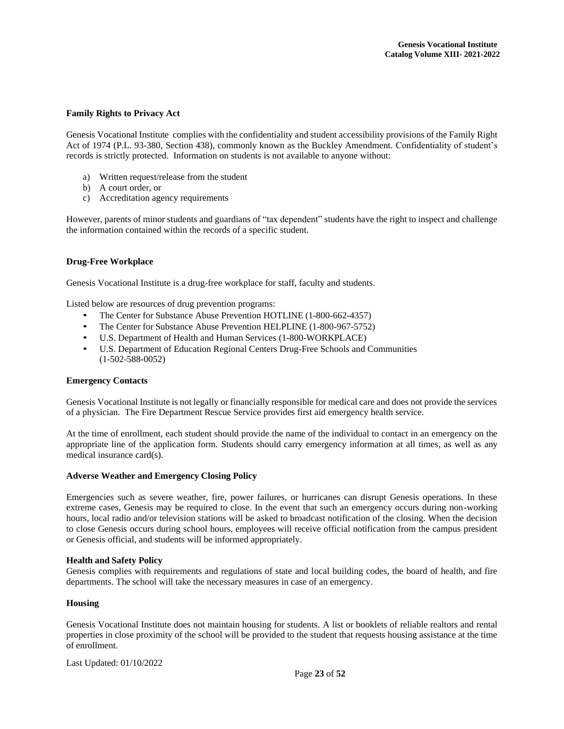## <span id="page-23-0"></span>**Family Rights to Privacy Act**

Genesis Vocational Institute complies with the confidentiality and student accessibility provisions of theFamily Right Act of 1974 (P.L. 93-380, Section 438), commonly known as the Buckley Amendment. Confidentiality of student's records is strictly protected. Information on students is not available to anyone without:

- a) Written request/release from the student
- b) A court order, or
- c) Accreditation agency requirements

However, parents of minor students and guardians of "tax dependent" students have the right to inspect and challenge the information contained within the records of a specific student.

#### <span id="page-23-1"></span>**Drug-Free Workplace**

Genesis Vocational Institute is a drug-free workplace for staff, faculty and students.

Listed below are resources of drug prevention programs:

- The Center for Substance Abuse Prevention HOTLINE (1-800-662-4357)
- The Center for Substance Abuse Prevention HELPLINE (1-800-967-5752)
- U.S. Department of Health and Human Services (1-800-WORKPLACE)
- U.S. Department of Education Regional Centers Drug-Free Schools and Communities (1-502-588-0052)

#### <span id="page-23-2"></span>**Emergency Contacts**

Genesis Vocational Institute is not legally or financially responsible for medical care and does not provide the services of a physician. The Fire Department Rescue Service provides first aid emergency health service.

At the time of enrollment, each student should provide the name of the individual to contact in an emergency on the appropriate line of the application form. Students should carry emergency information at all times, as well as any medical insurance card(s).

#### <span id="page-23-3"></span>**Adverse Weather and Emergency Closing Policy**

Emergencies such as severe weather, fire, power failures, or hurricanes can disrupt Genesis operations. In these extreme cases, Genesis may be required to close. In the event that such an emergency occurs during non-working hours, local radio and/or television stations will be asked to broadcast notification of the closing. When the decision to close Genesis occurs during school hours, employees will receive official notification from the campus president or Genesis official, and students will be informed appropriately.

#### <span id="page-23-4"></span>**Health and Safety Policy**

Genesis complies with requirements and regulations of state and local building codes, the board of health, and fire departments. The school will take the necessary measures in case of an emergency.

#### <span id="page-23-5"></span>**Housing**

Genesis Vocational Institute does not maintain housing for students. A list or booklets of reliable realtors and rental properties in close proximity of the school will be provided to the student that requests housing assistance at the time of enrollment.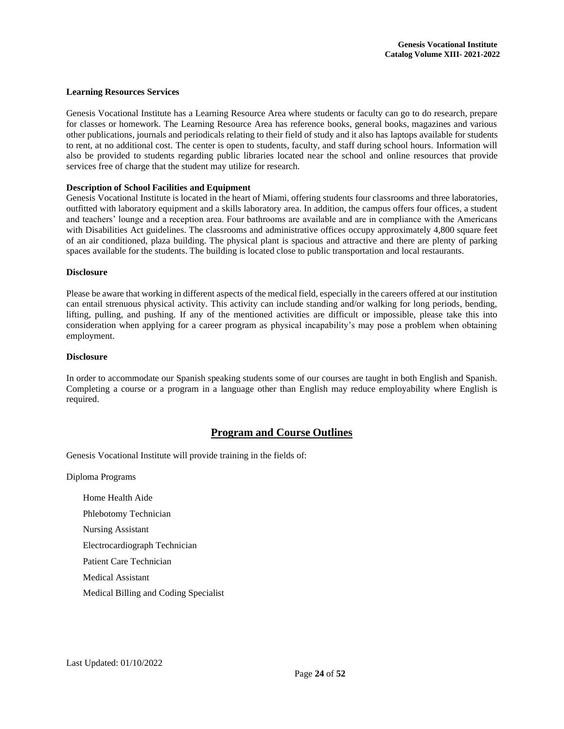#### <span id="page-24-0"></span>**Learning Resources Services**

Genesis Vocational Institute has a Learning Resource Area where students or faculty can go to do research, prepare for classes or homework. The Learning Resource Area has reference books, general books, magazines and various other publications, journals and periodicals relating to their field of study and it also has laptops available for students to rent, at no additional cost. The center is open to students, faculty, and staff during school hours. Information will also be provided to students regarding public libraries located near the school and online resources that provide services free of charge that the student may utilize for research.

#### <span id="page-24-1"></span>**Description of School Facilities and Equipment**

Genesis Vocational Institute is located in the heart of Miami, offering students four classrooms and three laboratories, outfitted with laboratory equipment and a skills laboratory area. In addition, the campus offers four offices, a student and teachers' lounge and a reception area. Four bathrooms are available and are in compliance with the Americans with Disabilities Act guidelines. The classrooms and administrative offices occupy approximately 4,800 square feet of an air conditioned, plaza building. The physical plant is spacious and attractive and there are plenty of parking spaces available for the students. The building is located close to public transportation and local restaurants.

#### <span id="page-24-2"></span>**Disclosure**

Please be aware that working in different aspects of the medical field, especially in the careers offered at our institution can entail strenuous physical activity. This activity can include standing and/or walking for long periods, bending, lifting, pulling, and pushing. If any of the mentioned activities are difficult or impossible, please take this into consideration when applying for a career program as physical incapability's may pose a problem when obtaining employment.

#### **Disclosure**

In order to accommodate our Spanish speaking students some of our courses are taught in both English and Spanish. Completing a course or a program in a language other than English may reduce employability where English is required.

## **Program and Course Outlines**

<span id="page-24-3"></span>Genesis Vocational Institute will provide training in the fields of:

Diploma Programs

Home Health Aide Phlebotomy Technician Nursing Assistant Electrocardiograph Technician Patient Care Technician Medical Assistant Medical Billing and Coding Specialist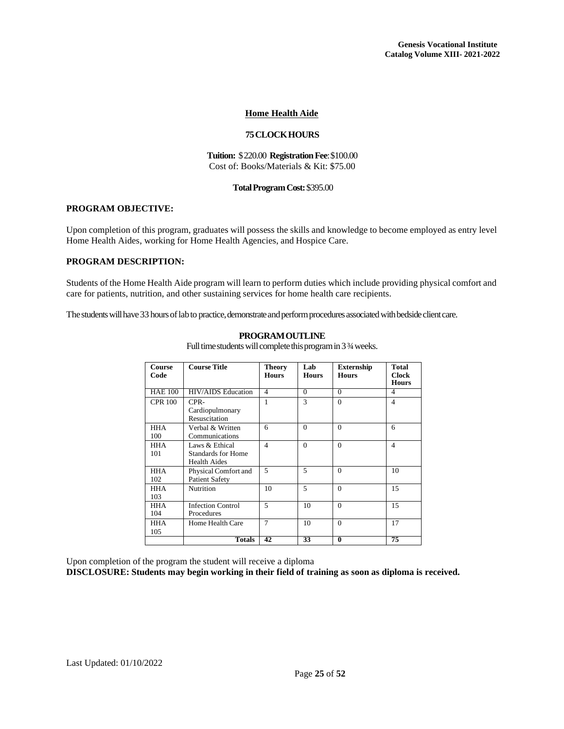## **Home Health Aide**

#### **75CLOCKHOURS**

#### **Tuition:** \$220.00 **RegistrationFee**:\$100.00 Cost of: Books/Materials & Kit: \$75.00

## **TotalProgramCost:**\$395.00

### <span id="page-25-0"></span>**PROGRAM OBJECTIVE:**

Upon completion of this program, graduates will possess the skills and knowledge to become employed as entry level Home Health Aides, working for Home Health Agencies, and Hospice Care.

#### **PROGRAM DESCRIPTION:**

Students of the Home Health Aide program will learn to perform duties which include providing physical comfort and care for patients, nutrition, and other sustaining services for home health care recipients.

The students will have 33 hours of lab to practice, demonstrate and perform procedures associated with bedside client care.

| Course<br>Code    | <b>Course Title</b>                                                | Theory<br><b>Hours</b> | Lab<br><b>Hours</b> | <b>Externship</b><br><b>Hours</b> | <b>Total</b><br><b>Clock</b><br><b>Hours</b> |
|-------------------|--------------------------------------------------------------------|------------------------|---------------------|-----------------------------------|----------------------------------------------|
| <b>HAE 100</b>    | <b>HIV/AIDS</b> Education                                          | $\overline{4}$         | $\Omega$            | $\Omega$                          | 4                                            |
| <b>CPR 100</b>    | CPR-<br>Cardiopulmonary<br>Resuscitation                           | 1                      | 3                   | $\Omega$                          | $\overline{\mathcal{A}}$                     |
| <b>HHA</b><br>100 | Verbal & Written<br>Communications                                 | 6                      | $\Omega$            | $\Omega$                          | 6                                            |
| <b>HHA</b><br>101 | Laws & Ethical<br><b>Standards for Home</b><br><b>Health Aides</b> | $\overline{4}$         | $\Omega$            | $\theta$                          | $\overline{4}$                               |
| <b>HHA</b><br>102 | Physical Comfort and<br><b>Patient Safety</b>                      | $\overline{5}$         | 5                   | $\Omega$                          | 10                                           |
| <b>HHA</b><br>103 | <b>Nutrition</b>                                                   | 10                     | $\overline{5}$      | $\Omega$                          | 15                                           |
| <b>HHA</b><br>104 | <b>Infection Control</b><br>Procedures                             | $\overline{5}$         | 10                  | $\Omega$                          | 15                                           |
| <b>HHA</b><br>105 | Home Health Care                                                   | $\overline{7}$         | 10                  | $\Omega$                          | 17                                           |
|                   | <b>Totals</b>                                                      | 42                     | 33                  | $\mathbf{0}$                      | 75                                           |

**PROGRAMOUTLINE**

Full time students will complete this program in 3 ¾ weeks.

Upon completion of the program the student will receive a diploma

**DISCLOSURE: Students may begin working in their field of training as soon as diploma is received.**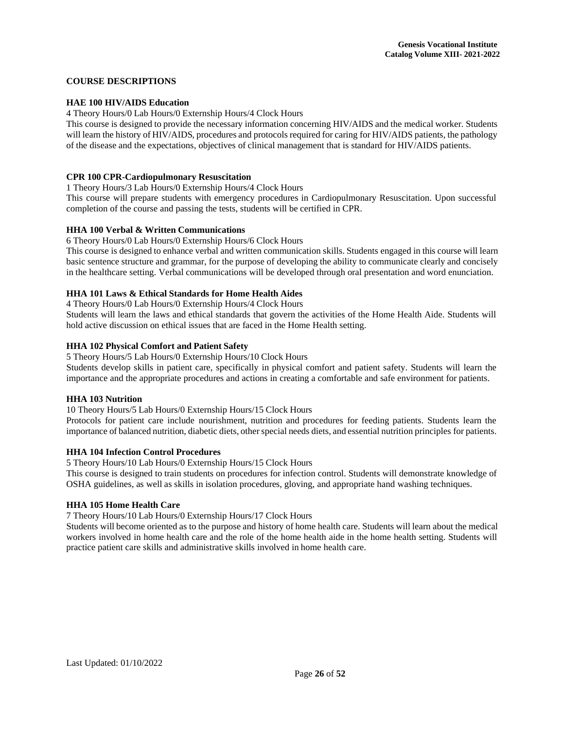## **COURSE DESCRIPTIONS**

## **HAE 100 HIV/AIDS Education**

4 Theory Hours/0 Lab Hours/0 Externship Hours/4 Clock Hours

This course is designed to provide the necessary information concerning HIV/AIDS and the medical worker. Students will learn the history of HIV/AIDS, procedures and protocols required for caring for HIV/AIDS patients, the pathology of the disease and the expectations, objectives of clinical management that is standard for HIV/AIDS patients.

## **CPR 100 CPR-Cardiopulmonary Resuscitation**

1 Theory Hours/3 Lab Hours/0 Externship Hours/4 Clock Hours

This course will prepare students with emergency procedures in Cardiopulmonary Resuscitation. Upon successful completion of the course and passing the tests, students will be certified in CPR.

## **HHA 100 Verbal & Written Communications**

6 Theory Hours/0 Lab Hours/0 Externship Hours/6 Clock Hours

This course is designed to enhance verbal and written communication skills. Students engaged in this course will learn basic sentence structure and grammar, for the purpose of developing the ability to communicate clearly and concisely in the healthcare setting. Verbal communications will be developed through oral presentation and word enunciation.

## **HHA 101 Laws & Ethical Standards for Home Health Aides**

4 Theory Hours/0 Lab Hours/0 Externship Hours/4 Clock Hours

Students will learn the laws and ethical standards that govern the activities of the Home Health Aide. Students will hold active discussion on ethical issues that are faced in the Home Health setting.

## **HHA 102 Physical Comfort and Patient Safety**

5 Theory Hours/5 Lab Hours/0 Externship Hours/10 Clock Hours

Students develop skills in patient care, specifically in physical comfort and patient safety. Students will learn the importance and the appropriate procedures and actions in creating a comfortable and safe environment for patients.

## **HHA 103 Nutrition**

10 Theory Hours/5 Lab Hours/0 Externship Hours/15 Clock Hours

Protocols for patient care include nourishment, nutrition and procedures for feeding patients. Students learn the importance of balanced nutrition, diabetic diets, other special needs diets, and essential nutrition principles for patients.

#### **HHA 104 Infection Control Procedures**

5 Theory Hours/10 Lab Hours/0 Externship Hours/15 Clock Hours

This course is designed to train students on procedures for infection control. Students will demonstrate knowledge of OSHA guidelines, as well as skills in isolation procedures, gloving, and appropriate hand washing techniques.

## **HHA 105 Home Health Care**

7 Theory Hours/10 Lab Hours/0 Externship Hours/17 Clock Hours

Students will become oriented as to the purpose and history of home health care. Students willlearn about the medical workers involved in home health care and the role of the home health aide in the home health setting. Students will practice patient care skills and administrative skills involved in home health care.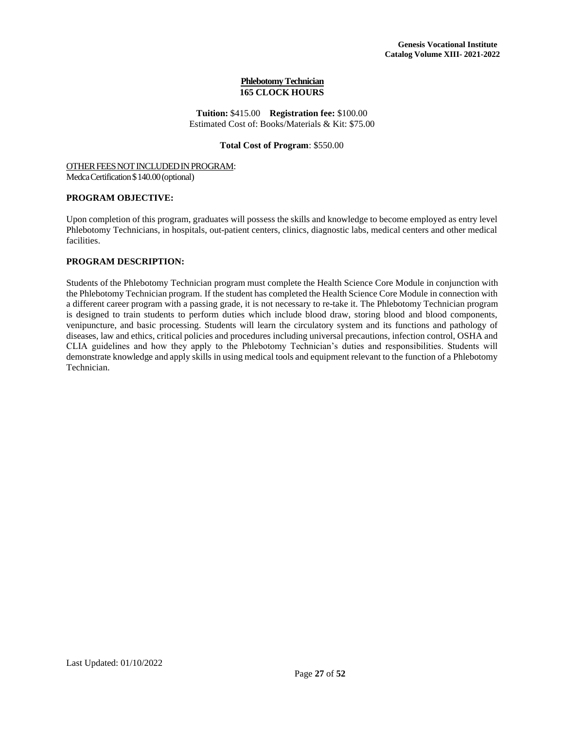## **Phlebotomy Technician 165 CLOCK HOURS**

**Tuition:** \$415.00 **Registration fee:** \$100.00 Estimated Cost of: Books/Materials & Kit: \$75.00

## **Total Cost of Program**: \$550.00

## OTHER FEES NOT INCLUDED IN PROGRAM: Medca Certification \$140.00 (optional)

## **PROGRAM OBJECTIVE:**

Upon completion of this program, graduates will possess the skills and knowledge to become employed as entry level Phlebotomy Technicians, in hospitals, out-patient centers, clinics, diagnostic labs, medical centers and other medical facilities.

## **PROGRAM DESCRIPTION:**

Students of the Phlebotomy Technician program must complete the Health Science Core Module in conjunction with the Phlebotomy Technician program. If the student has completed the Health Science Core Module in connection with a different career program with a passing grade, it is not necessary to re-take it. The Phlebotomy Technician program is designed to train students to perform duties which include blood draw, storing blood and blood components, venipuncture, and basic processing. Students will learn the circulatory system and its functions and pathology of diseases, law and ethics, critical policies and procedures including universal precautions, infection control, OSHA and CLIA guidelines and how they apply to the Phlebotomy Technician's duties and responsibilities. Students will demonstrate knowledge and apply skills in using medical tools and equipment relevant to the function of a Phlebotomy Technician.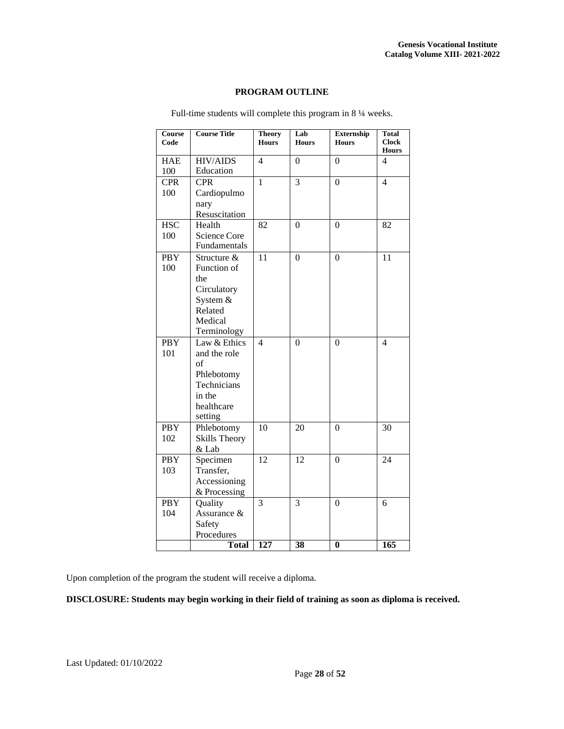## **PROGRAM OUTLINE**

| Course<br>Code    | <b>Course Title</b>                                                                                | <b>Theory</b><br><b>Hours</b> | Lab<br><b>Hours</b> | Externship<br><b>Hours</b> | Total<br><b>Clock</b><br><b>Hours</b> |
|-------------------|----------------------------------------------------------------------------------------------------|-------------------------------|---------------------|----------------------------|---------------------------------------|
| <b>HAE</b><br>100 | <b>HIV/AIDS</b><br>Education                                                                       | 4                             | 0                   | $\theta$                   | 4                                     |
| <b>CPR</b><br>100 | <b>CPR</b><br>Cardiopulmo<br>nary<br>Resuscitation                                                 | $\mathbf{1}$                  | 3                   | $\Omega$                   | $\overline{4}$                        |
| <b>HSC</b><br>100 | Health<br>Science Core<br>Fundamentals                                                             | 82                            | $\overline{0}$      | $\theta$                   | 82                                    |
| <b>PBY</b><br>100 | Structure &<br>Function of<br>the<br>Circulatory<br>System &<br>Related<br>Medical<br>Terminology  | 11                            | $\theta$            | $\theta$                   | 11                                    |
| <b>PBY</b><br>101 | Law & Ethics<br>and the role<br>of<br>Phlebotomy<br>Technicians<br>in the<br>healthcare<br>setting | $\overline{4}$                | $\overline{0}$      | $\mathbf{0}$               | $\overline{4}$                        |
| <b>PBY</b><br>102 | Phlebotomy<br><b>Skills Theory</b><br>& Lab                                                        | 10                            | 20                  | $\theta$                   | 30                                    |
| <b>PBY</b><br>103 | Specimen<br>Transfer,<br>Accessioning<br>& Processing                                              | 12                            | 12                  | $\Omega$                   | 24                                    |
| <b>PBY</b><br>104 | Quality<br>Assurance &<br>Safety<br>Procedures                                                     | 3                             | 3                   | $\Omega$                   | 6                                     |
|                   | <b>Total</b>                                                                                       | $\overline{127}$              | 38                  | $\bf{0}$                   | 165                                   |

Full-time students will complete this program in 8 ¼ weeks.

Upon completion of the program the student will receive a diploma.

**DISCLOSURE: Students may begin working in their field of training as soon as diploma is received.**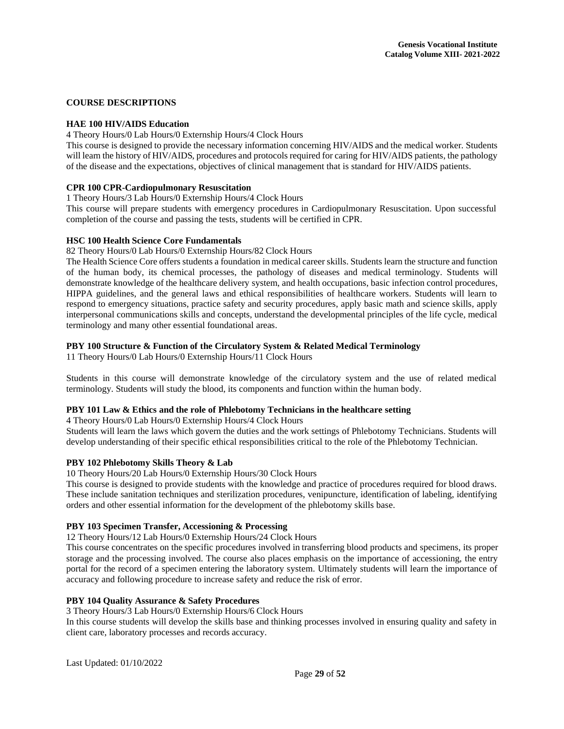## **COURSE DESCRIPTIONS**

## **HAE 100 HIV/AIDS Education**

4 Theory Hours/0 Lab Hours/0 Externship Hours/4 Clock Hours

This course is designed to provide the necessary information concerning HIV/AIDS and the medical worker. Students will learn the history of HIV/AIDS, procedures and protocols required for caring for HIV/AIDS patients, the pathology of the disease and the expectations, objectives of clinical management that is standard for HIV/AIDS patients.

## **CPR 100 CPR-Cardiopulmonary Resuscitation**

1 Theory Hours/3 Lab Hours/0 Externship Hours/4 Clock Hours

This course will prepare students with emergency procedures in Cardiopulmonary Resuscitation. Upon successful completion of the course and passing the tests, students will be certified in CPR.

#### **HSC 100 Health Science Core Fundamentals**

82 Theory Hours/0 Lab Hours/0 Externship Hours/82 Clock Hours

The Health Science Core offers students a foundation in medical career skills. Students learn the structure and function of the human body, its chemical processes, the pathology of diseases and medical terminology. Students will demonstrate knowledge of the healthcare delivery system, and health occupations, basic infection control procedures, HIPPA guidelines, and the general laws and ethical responsibilities of healthcare workers. Students will learn to respond to emergency situations, practice safety and security procedures, apply basic math and science skills, apply interpersonal communications skills and concepts, understand the developmental principles of the life cycle, medical terminology and many other essential foundational areas.

## **PBY 100 Structure & Function of the Circulatory System & Related Medical Terminology**

11 Theory Hours/0 Lab Hours/0 Externship Hours/11 Clock Hours

Students in this course will demonstrate knowledge of the circulatory system and the use of related medical terminology. Students will study the blood, its components and function within the human body.

## **PBY 101 Law & Ethics and the role of Phlebotomy Technicians in the healthcare setting**

4 Theory Hours/0 Lab Hours/0 Externship Hours/4 Clock Hours

Students will learn the laws which govern the duties and the work settings of Phlebotomy Technicians. Students will develop understanding of their specific ethical responsibilities critical to the role of the Phlebotomy Technician.

#### **PBY 102 Phlebotomy Skills Theory & Lab**

10 Theory Hours/20 Lab Hours/0 Externship Hours/30 Clock Hours

This course is designed to provide students with the knowledge and practice of procedures required for blood draws. These include sanitation techniques and sterilization procedures, venipuncture, identification of labeling, identifying orders and other essential information for the development of the phlebotomy skills base.

#### **PBY 103 Specimen Transfer, Accessioning & Processing**

12 Theory Hours/12 Lab Hours/0 Externship Hours/24 Clock Hours

This course concentrates on the specific procedures involved in transferring blood products and specimens, its proper storage and the processing involved. The course also places emphasis on the importance of accessioning, the entry portal for the record of a specimen entering the laboratory system. Ultimately students will learn the importance of accuracy and following procedure to increase safety and reduce the risk of error.

#### **PBY 104 Quality Assurance & Safety Procedures**

3 Theory Hours/3 Lab Hours/0 Externship Hours/6 Clock Hours

In this course students will develop the skills base and thinking processes involved in ensuring quality and safety in client care, laboratory processes and records accuracy.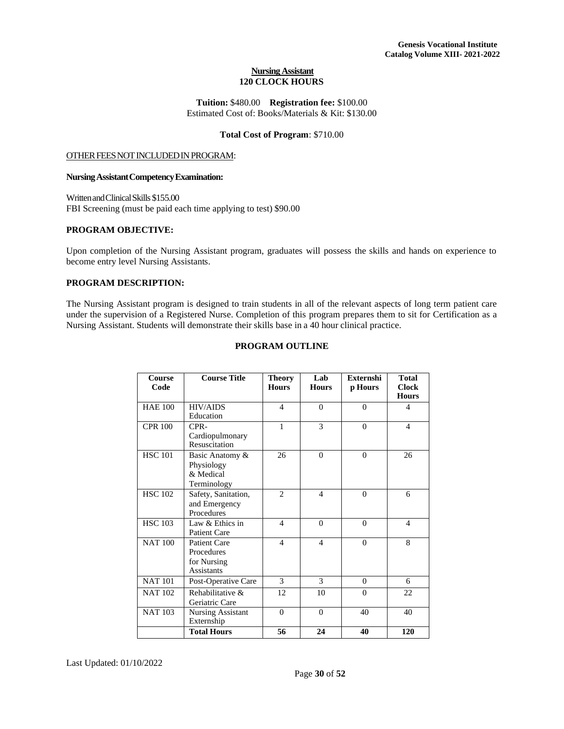## **Nursing Assistant 120 CLOCK HOURS**

**Tuition:** \$480.00 **Registration fee:** \$100.00 Estimated Cost of: Books/Materials & Kit: \$130.00

## **Total Cost of Program**: \$710.00

#### OTHER FEES NOT INCLUDED IN PROGRAM:

#### **NursingAssistantCompetencyExamination:**

WrittenandClinicalSkills \$155.00 FBI Screening (must be paid each time applying to test) \$90.00

#### **PROGRAM OBJECTIVE:**

Upon completion of the Nursing Assistant program, graduates will possess the skills and hands on experience to become entry level Nursing Assistants.

## **PROGRAM DESCRIPTION:**

The Nursing Assistant program is designed to train students in all of the relevant aspects of long term patient care under the supervision of a Registered Nurse. Completion of this program prepares them to sit for Certification as a Nursing Assistant. Students will demonstrate their skills base in a 40 hour clinical practice.

## **PROGRAM OUTLINE**

| Course<br>Code | <b>Course Title</b>                                            | Theory<br><b>Hours</b> | Lab<br><b>Hours</b> | <b>Externshi</b><br>p Hours | <b>Total</b><br><b>Clock</b><br><b>Hours</b> |
|----------------|----------------------------------------------------------------|------------------------|---------------------|-----------------------------|----------------------------------------------|
| <b>HAE 100</b> | <b>HIV/AIDS</b><br>Education                                   | $\overline{4}$         | $\Omega$            | $\theta$                    | $\overline{4}$                               |
| <b>CPR 100</b> | $CPR-$<br>Cardiopulmonary<br>Resuscitation                     | 1                      | 3                   | $\theta$                    | $\overline{4}$                               |
| <b>HSC 101</b> | Basic Anatomy &<br>Physiology<br>& Medical<br>Terminology      | 26                     | $\Omega$            | $\theta$                    | 26                                           |
| <b>HSC 102</b> | Safety, Sanitation,<br>and Emergency<br>Procedures             | $\mathfrak{D}$         | 4                   | $\theta$                    | 6                                            |
| <b>HSC 103</b> | Law & Ethics in<br><b>Patient Care</b>                         | $\overline{4}$         | $\theta$            | $\theta$                    | $\overline{4}$                               |
| <b>NAT 100</b> | <b>Patient Care</b><br>Procedures<br>for Nursing<br>Assistants | $\overline{4}$         | $\overline{4}$      | $\theta$                    | 8                                            |
| <b>NAT 101</b> | Post-Operative Care                                            | 3                      | 3                   | $\Omega$                    | 6                                            |
| <b>NAT 102</b> | Rehabilitative &<br>Geriatric Care                             | 12                     | 10                  | $\theta$                    | 22                                           |
| <b>NAT 103</b> | <b>Nursing Assistant</b><br>Externship                         | $\Omega$               | $\theta$            | 40                          | 40                                           |
|                | <b>Total Hours</b>                                             | 56                     | 24                  | 40                          | 120                                          |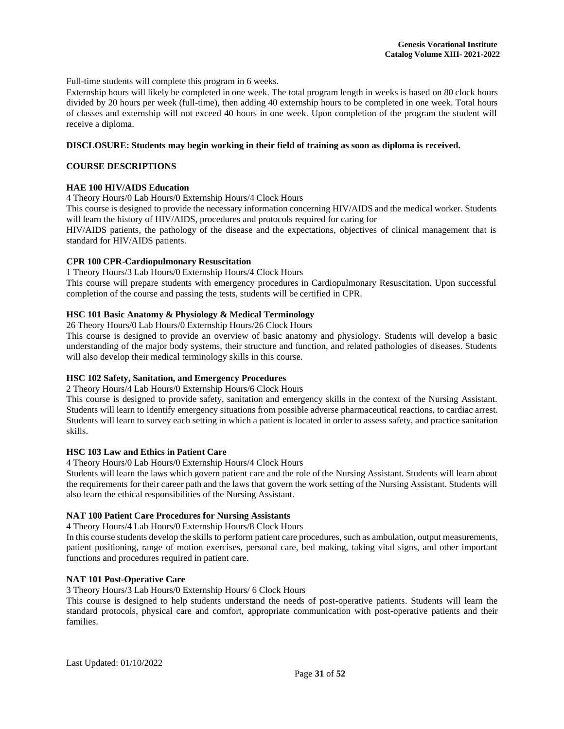Full-time students will complete this program in 6 weeks.

Externship hours will likely be completed in one week. The total program length in weeks is based on 80 clock hours divided by 20 hours per week (full-time), then adding 40 externship hours to be completed in one week. Total hours of classes and externship will not exceed 40 hours in one week. Upon completion of the program the student will receive a diploma.

#### **DISCLOSURE: Students may begin working in their field of training as soon as diploma is received.**

## **COURSE DESCRIPTIONS**

## **HAE 100 HIV/AIDS Education**

4 Theory Hours/0 Lab Hours/0 Externship Hours/4 Clock Hours

This course is designed to provide the necessary information concerning HIV/AIDS and the medical worker. Students will learn the history of HIV/AIDS, procedures and protocols required for caring for

HIV/AIDS patients, the pathology of the disease and the expectations, objectives of clinical management that is standard for HIV/AIDS patients.

## **CPR 100 CPR-Cardiopulmonary Resuscitation**

1 Theory Hours/3 Lab Hours/0 Externship Hours/4 Clock Hours

This course will prepare students with emergency procedures in Cardiopulmonary Resuscitation. Upon successful completion of the course and passing the tests, students will be certified in CPR.

## **HSC 101 Basic Anatomy & Physiology & Medical Terminology**

26 Theory Hours/0 Lab Hours/0 Externship Hours/26 Clock Hours

This course is designed to provide an overview of basic anatomy and physiology. Students will develop a basic understanding of the major body systems, their structure and function, and related pathologies of diseases. Students will also develop their medical terminology skills in this course.

## **HSC 102 Safety, Sanitation, and Emergency Procedures**

2 Theory Hours/4 Lab Hours/0 Externship Hours/6 Clock Hours

This course is designed to provide safety, sanitation and emergency skills in the context of the Nursing Assistant. Students will learn to identify emergency situations from possible adverse pharmaceutical reactions, to cardiac arrest. Students will learn to survey each setting in which a patient is located in order to assess safety, and practice sanitation skills.

## **HSC 103 Law and Ethics in Patient Care**

4 Theory Hours/0 Lab Hours/0 Externship Hours/4 Clock Hours

Students will learn the laws which govern patient care and the role of the Nursing Assistant. Students will learn about the requirements for their career path and the laws that govern the work setting of the Nursing Assistant. Students will also learn the ethical responsibilities of the Nursing Assistant.

## **NAT 100 Patient Care Procedures for Nursing Assistants**

4 Theory Hours/4 Lab Hours/0 Externship Hours/8 Clock Hours

In this course students develop the skills to perform patient care procedures, such as ambulation, output measurements, patient positioning, range of motion exercises, personal care, bed making, taking vital signs, and other important functions and procedures required in patient care.

## **NAT 101 Post-Operative Care**

3 Theory Hours/3 Lab Hours/0 Externship Hours/ 6 Clock Hours

This course is designed to help students understand the needs of post-operative patients. Students will learn the standard protocols, physical care and comfort, appropriate communication with post-operative patients and their families.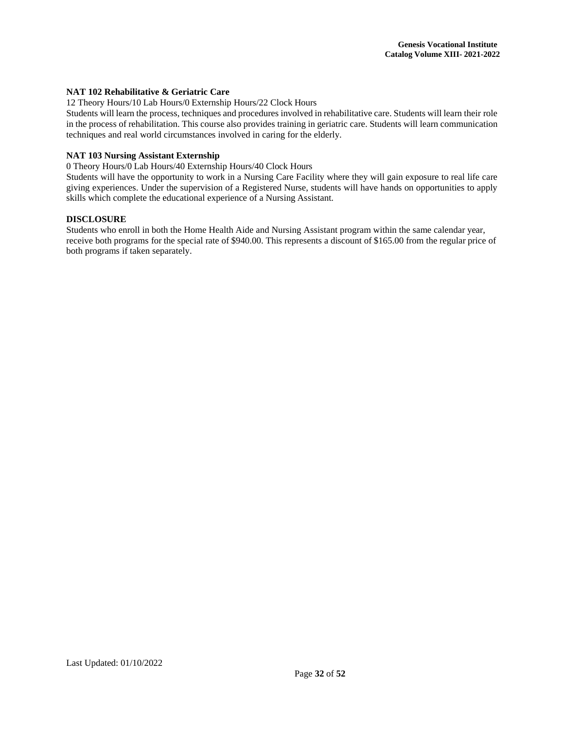## **NAT 102 Rehabilitative & Geriatric Care**

12 Theory Hours/10 Lab Hours/0 Externship Hours/22 Clock Hours

Students will learn the process, techniques and procedures involved in rehabilitative care. Students will learn their role in the process of rehabilitation. This course also provides training in geriatric care. Students will learn communication techniques and real world circumstances involved in caring for the elderly.

## **NAT 103 Nursing Assistant Externship**

0 Theory Hours/0 Lab Hours/40 Externship Hours/40 Clock Hours

Students will have the opportunity to work in a Nursing Care Facility where they will gain exposure to real life care giving experiences. Under the supervision of a Registered Nurse, students will have hands on opportunities to apply skills which complete the educational experience of a Nursing Assistant.

#### **DISCLOSURE**

Students who enroll in both the Home Health Aide and Nursing Assistant program within the same calendar year, receive both programs for the special rate of \$940.00. This represents a discount of \$165.00 from the regular price of both programs if taken separately.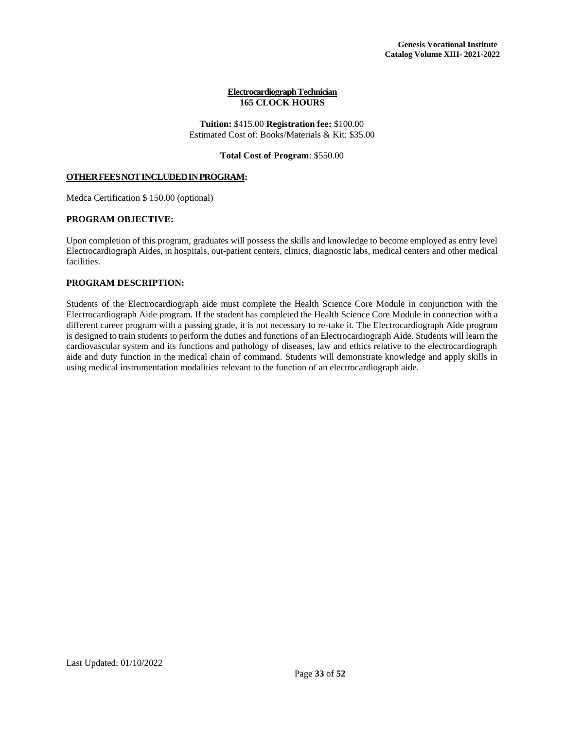#### **Electrocardiograph Technician 165 CLOCK HOURS**

## **Tuition:** \$415.00 **Registration fee:** \$100.00 Estimated Cost of: Books/Materials & Kit: \$35.00

**Total Cost of Program**: \$550.00

## **OTHERFEESNOTINCLUDEDINPROGRAM:**

Medca Certification \$ 150.00 (optional)

## **PROGRAM OBJECTIVE:**

Upon completion of this program, graduates will possess the skills and knowledge to become employed as entry level Electrocardiograph Aides, in hospitals, out-patient centers, clinics, diagnostic labs, medical centers and other medical facilities.

## **PROGRAM DESCRIPTION:**

Students of the Electrocardiograph aide must complete the Health Science Core Module in conjunction with the Electrocardiograph Aide program. If the student has completed the Health Science Core Module in connection with a different career program with a passing grade, it is not necessary to re-take it. The Electrocardiograph Aide program is designed to train students to perform the duties and functions of an Electrocardiograph Aide. Students will learn the cardiovascular system and its functions and pathology of diseases, law and ethics relative to the electrocardiograph aide and duty function in the medical chain of command. Students will demonstrate knowledge and apply skills in using medical instrumentation modalities relevant to the function of an electrocardiograph aide.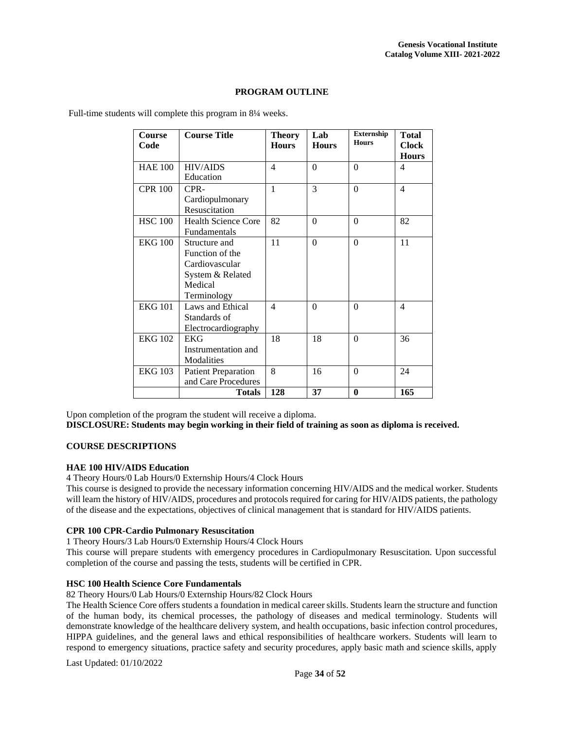## **PROGRAM OUTLINE**

| <b>Course</b><br>Code | <b>Course Title</b>                                                                              | <b>Theory</b><br><b>Hours</b> | Lab<br><b>Hours</b> | <b>Externship</b><br><b>Hours</b> | <b>Total</b><br><b>Clock</b><br><b>Hours</b> |
|-----------------------|--------------------------------------------------------------------------------------------------|-------------------------------|---------------------|-----------------------------------|----------------------------------------------|
| <b>HAE 100</b>        | <b>HIV/AIDS</b><br>Education                                                                     | $\overline{4}$                | $\theta$            | $\theta$                          | $\overline{4}$                               |
| <b>CPR 100</b>        | CPR-<br>Cardiopulmonary<br>Resuscitation                                                         | $\mathbf{1}$                  | 3                   | $\overline{0}$                    | $\overline{4}$                               |
| <b>HSC 100</b>        | <b>Health Science Core</b><br>Fundamentals                                                       | 82                            | $\Omega$            | $\theta$                          | 82                                           |
| <b>EKG 100</b>        | Structure and<br>Function of the<br>Cardiovascular<br>System & Related<br>Medical<br>Terminology | 11                            | $\theta$            | $\theta$                          | 11                                           |
| <b>EKG 101</b>        | Laws and Ethical<br>Standards of<br>Electrocardiography                                          | $\overline{4}$                | $\theta$            | $\theta$                          | $\overline{4}$                               |
| <b>EKG 102</b>        | <b>EKG</b><br>Instrumentation and<br>Modalities                                                  | 18                            | 18                  | $\Omega$                          | 36                                           |
| <b>EKG 103</b>        | <b>Patient Preparation</b><br>and Care Procedures                                                | 8                             | 16                  | $\theta$                          | 24                                           |
|                       | <b>Totals</b>                                                                                    | 128                           | 37                  | $\bf{0}$                          | $\overline{165}$                             |

Full-time students will complete this program in 8<sup>1</sup>/<sub>4</sub> weeks.

Upon completion of the program the student will receive a diploma. **DISCLOSURE: Students may begin working in their field of training as soon as diploma is received.**

## **COURSE DESCRIPTIONS**

## **HAE 100 HIV/AIDS Education**

4 Theory Hours/0 Lab Hours/0 Externship Hours/4 Clock Hours

This course is designed to provide the necessary information concerning HIV/AIDS and the medical worker. Students will learn the history of HIV/AIDS, procedures and protocols required for caring for HIV/AIDS patients, the pathology of the disease and the expectations, objectives of clinical management that is standard for HIV/AIDS patients.

#### **CPR 100 CPR-Cardio Pulmonary Resuscitation**

1 Theory Hours/3 Lab Hours/0 Externship Hours/4 Clock Hours

This course will prepare students with emergency procedures in Cardiopulmonary Resuscitation. Upon successful completion of the course and passing the tests, students will be certified in CPR.

## **HSC 100 Health Science Core Fundamentals**

82 Theory Hours/0 Lab Hours/0 Externship Hours/82 Clock Hours

The Health Science Core offers students a foundation in medical career skills. Students learn the structure and function of the human body, its chemical processes, the pathology of diseases and medical terminology. Students will demonstrate knowledge of the healthcare delivery system, and health occupations, basic infection control procedures, HIPPA guidelines, and the general laws and ethical responsibilities of healthcare workers. Students will learn to respond to emergency situations, practice safety and security procedures, apply basic math and science skills, apply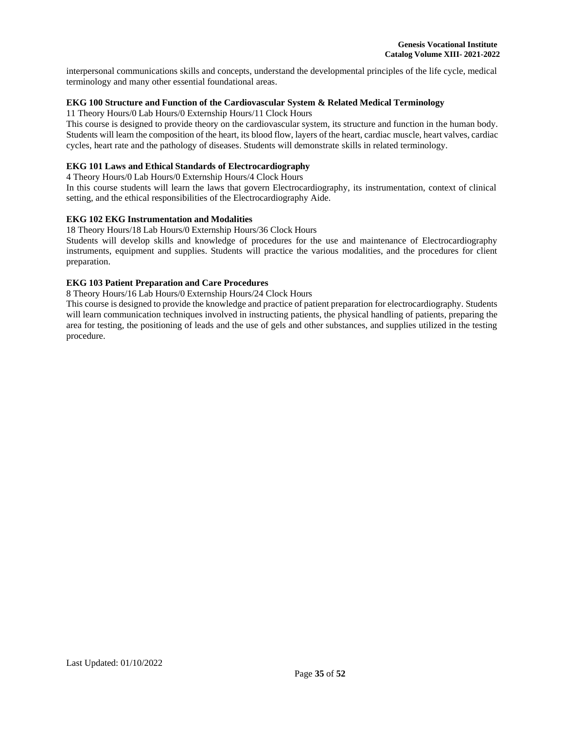interpersonal communications skills and concepts, understand the developmental principles of the life cycle, medical terminology and many other essential foundational areas.

## **EKG 100 Structure and Function of the Cardiovascular System & Related Medical Terminology**

11 Theory Hours/0 Lab Hours/0 Externship Hours/11 Clock Hours

This course is designed to provide theory on the cardiovascular system, its structure and function in the human body. Students will learn the composition of the heart, its blood flow, layers of the heart, cardiac muscle, heart valves, cardiac cycles, heart rate and the pathology of diseases. Students will demonstrate skills in related terminology.

## **EKG 101 Laws and Ethical Standards of Electrocardiography**

4 Theory Hours/0 Lab Hours/0 Externship Hours/4 Clock Hours

In this course students will learn the laws that govern Electrocardiography, its instrumentation, context of clinical setting, and the ethical responsibilities of the Electrocardiography Aide.

## **EKG 102 EKG Instrumentation and Modalities**

18 Theory Hours/18 Lab Hours/0 Externship Hours/36 Clock Hours

Students will develop skills and knowledge of procedures for the use and maintenance of Electrocardiography instruments, equipment and supplies. Students will practice the various modalities, and the procedures for client preparation.

## **EKG 103 Patient Preparation and Care Procedures**

8 Theory Hours/16 Lab Hours/0 Externship Hours/24 Clock Hours

This course is designed to provide the knowledge and practice of patient preparation for electrocardiography. Students will learn communication techniques involved in instructing patients, the physical handling of patients, preparing the area for testing, the positioning of leads and the use of gels and other substances, and supplies utilized in the testing procedure.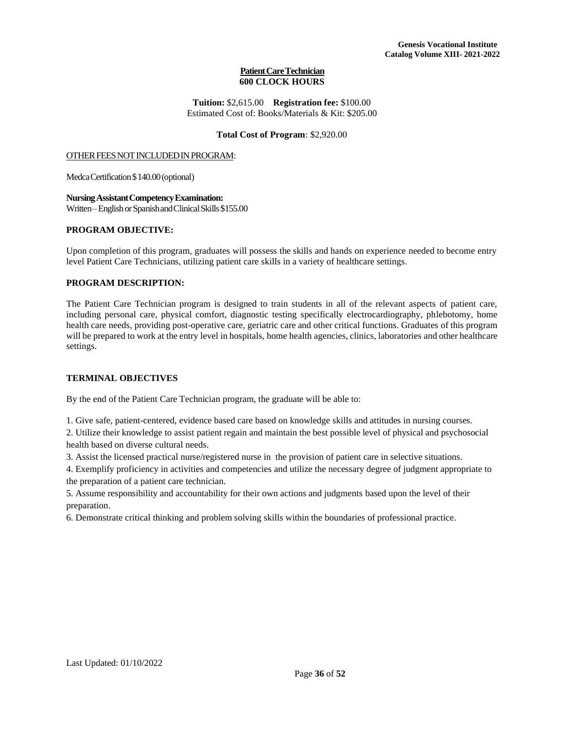## **Patient Care Technician 600 CLOCK HOURS**

**Tuition:** \$2,615.00 **Registration fee:** \$100.00 Estimated Cost of: Books/Materials & Kit: \$205.00

## **Total Cost of Program**: \$2,920.00

#### OTHER FEES NOT INCLUDED IN PROGRAM:

Medca Certification \$140.00 (optional)

**NursingAssistantCompetencyExamination:** Written–English or Spanish and Clinical Skills \$155.00

## **PROGRAM OBJECTIVE:**

Upon completion of this program, graduates will possess the skills and hands on experience needed to become entry level Patient Care Technicians, utilizing patient care skills in a variety of healthcare settings.

## **PROGRAM DESCRIPTION:**

The Patient Care Technician program is designed to train students in all of the relevant aspects of patient care, including personal care, physical comfort, diagnostic testing specifically electrocardiography, phlebotomy, home health care needs, providing post-operative care, geriatric care and other critical functions. Graduates of this program will be prepared to work at the entry level in hospitals, home health agencies, clinics, laboratories and other healthcare settings.

## **TERMINAL OBJECTIVES**

By the end of the Patient Care Technician program, the graduate will be able to:

1. Give safe, patient-centered, evidence based care based on knowledge skills and attitudes in nursing courses.

2. Utilize their knowledge to assist patient regain and maintain the best possible level of physical and psychosocial health based on diverse cultural needs.

3. Assist the licensed practical nurse/registered nurse in the provision of patient care in selective situations.

4. Exemplify proficiency in activities and competencies and utilize the necessary degree of judgment appropriate to the preparation of a patient care technician.

5. Assume responsibility and accountability for their own actions and judgments based upon the level of their preparation.

6. Demonstrate critical thinking and problem solving skills within the boundaries of professional practice.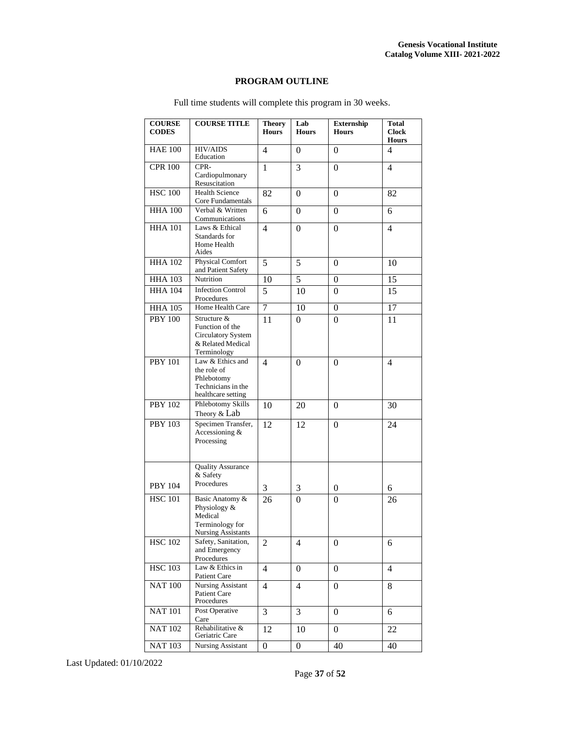## **PROGRAM OUTLINE**

| <b>COURSE</b><br><b>CODES</b> | <b>COURSE TITLE</b>                                                                        | <b>Theory</b><br><b>Hours</b> | Lab<br><b>Hours</b> | <b>Externship</b><br><b>Hours</b> | <b>Total</b><br><b>Clock</b><br><b>Hours</b> |
|-------------------------------|--------------------------------------------------------------------------------------------|-------------------------------|---------------------|-----------------------------------|----------------------------------------------|
| <b>HAE 100</b>                | <b>HIV/AIDS</b><br>Education                                                               | 4                             | $\Omega$            | $\theta$                          | 4                                            |
| <b>CPR 100</b>                | CPR-<br>Cardiopulmonary<br>Resuscitation                                                   | $\mathbf{1}$                  | 3                   | $\theta$                          | $\overline{4}$                               |
| <b>HSC 100</b>                | <b>Health Science</b><br>Core Fundamentals                                                 | 82                            | $\theta$            | $\theta$                          | 82                                           |
| <b>HHA 100</b>                | Verbal & Written<br>Communications                                                         | 6                             | $\overline{0}$      | $\overline{0}$                    | 6                                            |
| <b>HHA 101</b>                | Laws & Ethical<br>Standards for<br>Home Health<br>Aides                                    | 4                             | $\Omega$            | $\theta$                          | $\overline{4}$                               |
| <b>HHA 102</b>                | <b>Physical Comfort</b><br>and Patient Safety                                              | 5                             | 5                   | $\theta$                          | 10                                           |
| <b>HHA 103</b>                | Nutrition                                                                                  | 10                            | 5                   | $\overline{0}$                    | $\overline{15}$                              |
| <b>HHA 104</b>                | <b>Infection Control</b><br>Procedures                                                     | 5                             | 10                  | $\Omega$                          | 15                                           |
| <b>HHA 105</b>                | Home Health Care                                                                           | 7                             | 10                  | $\overline{0}$                    | 17                                           |
| <b>PBY 100</b>                | Structure &<br>Function of the<br>Circulatory System<br>& Related Medical<br>Terminology   | 11                            | $\Omega$            | $\theta$                          | 11                                           |
| <b>PBY 101</b>                | Law & Ethics and<br>the role of<br>Phlebotomy<br>Technicians in the<br>healthcare setting  | 4                             | 0                   | 0                                 | 4                                            |
| <b>PBY 102</b>                | Phlebotomy Skills<br>Theory & Lab                                                          | 10                            | 20                  | 0                                 | 30                                           |
| <b>PBY 103</b>                | Specimen Transfer,<br>Accessioning &<br>Processing                                         | 12                            | 12                  | $\theta$                          | 24                                           |
|                               | <b>Quality Assurance</b><br>& Safety<br>Procedures                                         |                               |                     |                                   |                                              |
| <b>PBY 104</b>                |                                                                                            | 3                             | 3                   | 0                                 | 6                                            |
| <b>HSC 101</b>                | Basic Anatomy &<br>Physiology &<br>Medical<br>Terminology for<br><b>Nursing Assistants</b> | 26                            | $\boldsymbol{0}$    | $\overline{0}$                    | 26                                           |
| <b>HSC 102</b>                | Safety, Sanitation,<br>and Emergency<br>Procedures                                         | 2                             | 4                   | 0                                 | 6                                            |
| <b>HSC 103</b>                | Law & Ethics in<br><b>Patient Care</b>                                                     | $\overline{4}$                | 0                   | 0                                 | 4                                            |
| <b>NAT 100</b>                | Nursing Assistant<br>Patient Care<br>Procedures                                            | 4                             | 4                   | 0                                 | 8                                            |
| <b>NAT 101</b>                | Post Operative<br>Care                                                                     | 3                             | 3                   | 0                                 | 6                                            |
| <b>NAT 102</b>                | Rehabilitative &<br>Geriatric Care                                                         | 12                            | 10                  | $\Omega$                          | 22                                           |
| <b>NAT 103</b>                | <b>Nursing Assistant</b>                                                                   | $\overline{0}$                | $\boldsymbol{0}$    | 40                                | 40                                           |

Full time students will complete this program in 30 weeks.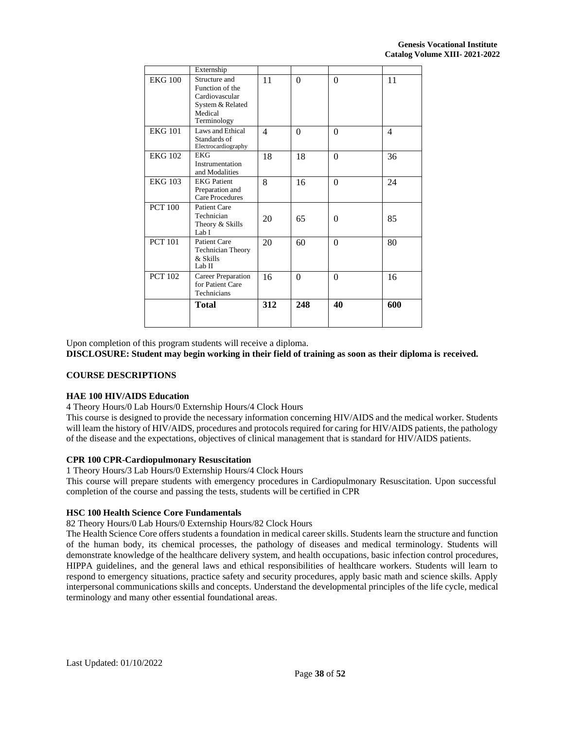|                | Externship                                                                                       |                |          |          |     |
|----------------|--------------------------------------------------------------------------------------------------|----------------|----------|----------|-----|
| <b>EKG 100</b> | Structure and<br>Function of the<br>Cardiovascular<br>System & Related<br>Medical<br>Terminology | 11             | $\theta$ | $\Omega$ | 11  |
| <b>EKG 101</b> | Laws and Ethical<br>Standards of<br>Electrocardiography                                          | $\overline{4}$ | $\theta$ | $\Omega$ | 4   |
| <b>EKG 102</b> | <b>EKG</b><br>Instrumentation<br>and Modalities                                                  | 18             | 18       | $\Omega$ | 36  |
| <b>EKG 103</b> | <b>EKG Patient</b><br>Preparation and<br>Care Procedures                                         | 8              | 16       | $\Omega$ | 24  |
| <b>PCT 100</b> | Patient Care<br>Technician<br>Theory & Skills<br>Lab I                                           | 20             | 65       | $\Omega$ | 85  |
| <b>PCT 101</b> | Patient Care<br><b>Technician Theory</b><br>& Skills<br>Lab II                                   | 20             | 60       | $\Omega$ | 80  |
| <b>PCT 102</b> | Career Preparation<br>for Patient Care<br>Technicians                                            | 16             | $\Omega$ | $\Omega$ | 16  |
|                | <b>Total</b>                                                                                     | 312            | 248      | 40       | 600 |

Upon completion of this program students will receive a diploma.

**DISCLOSURE: Student may begin working in their field of training as soon as their diploma is received.**

## **COURSE DESCRIPTIONS**

## **HAE 100 HIV/AIDS Education**

4 Theory Hours/0 Lab Hours/0 Externship Hours/4 Clock Hours

This course is designed to provide the necessary information concerning HIV/AIDS and the medical worker. Students will learn the history of HIV/AIDS, procedures and protocols required for caring for HIV/AIDS patients, the pathology of the disease and the expectations, objectives of clinical management that is standard for HIV/AIDS patients.

## **CPR 100 CPR-Cardiopulmonary Resuscitation**

1 Theory Hours/3 Lab Hours/0 Externship Hours/4 Clock Hours

This course will prepare students with emergency procedures in Cardiopulmonary Resuscitation. Upon successful completion of the course and passing the tests, students will be certified in CPR

#### **HSC 100 Health Science Core Fundamentals**

82 Theory Hours/0 Lab Hours/0 Externship Hours/82 Clock Hours

The Health Science Core offers students a foundation in medical career skills. Students learn the structure and function of the human body, its chemical processes, the pathology of diseases and medical terminology. Students will demonstrate knowledge of the healthcare delivery system, and health occupations, basic infection control procedures, HIPPA guidelines, and the general laws and ethical responsibilities of healthcare workers. Students will learn to respond to emergency situations, practice safety and security procedures, apply basic math and science skills. Apply interpersonal communications skills and concepts. Understand the developmental principles of the life cycle, medical terminology and many other essential foundational areas.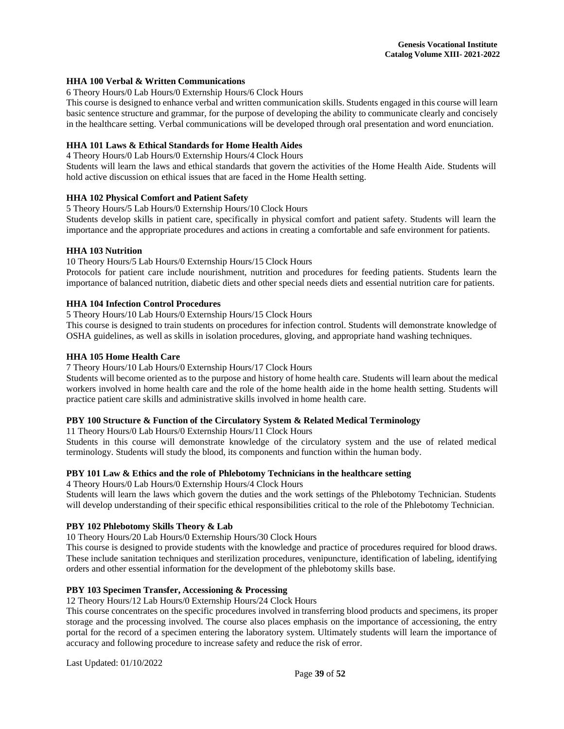## **HHA 100 Verbal & Written Communications**

6 Theory Hours/0 Lab Hours/0 Externship Hours/6 Clock Hours

This course is designed to enhance verbal and written communication skills. Students engaged in this course will learn basic sentence structure and grammar, for the purpose of developing the ability to communicate clearly and concisely in the healthcare setting. Verbal communications will be developed through oral presentation and word enunciation.

## **HHA 101 Laws & Ethical Standards for Home Health Aides**

4 Theory Hours/0 Lab Hours/0 Externship Hours/4 Clock Hours

Students will learn the laws and ethical standards that govern the activities of the Home Health Aide. Students will hold active discussion on ethical issues that are faced in the Home Health setting.

## **HHA 102 Physical Comfort and Patient Safety**

5 Theory Hours/5 Lab Hours/0 Externship Hours/10 Clock Hours

Students develop skills in patient care, specifically in physical comfort and patient safety. Students will learn the importance and the appropriate procedures and actions in creating a comfortable and safe environment for patients.

## **HHA 103 Nutrition**

10 Theory Hours/5 Lab Hours/0 Externship Hours/15 Clock Hours

Protocols for patient care include nourishment, nutrition and procedures for feeding patients. Students learn the importance of balanced nutrition, diabetic diets and other special needs diets and essential nutrition care for patients.

## **HHA 104 Infection Control Procedures**

5 Theory Hours/10 Lab Hours/0 Externship Hours/15 Clock Hours

This course is designed to train students on procedures for infection control. Students will demonstrate knowledge of OSHA guidelines, as well as skills in isolation procedures, gloving, and appropriate hand washing techniques.

## **HHA 105 Home Health Care**

#### 7 Theory Hours/10 Lab Hours/0 Externship Hours/17 Clock Hours

Students will become oriented as to the purpose and history of home health care. Students willlearn about the medical workers involved in home health care and the role of the home health aide in the home health setting. Students will practice patient care skills and administrative skills involved in home health care.

## **PBY 100 Structure & Function of the Circulatory System & Related Medical Terminology**

11 Theory Hours/0 Lab Hours/0 Externship Hours/11 Clock Hours

Students in this course will demonstrate knowledge of the circulatory system and the use of related medical terminology. Students will study the blood, its components and function within the human body.

## **PBY 101 Law & Ethics and the role of Phlebotomy Technicians in the healthcare setting**

4 Theory Hours/0 Lab Hours/0 Externship Hours/4 Clock Hours

Students will learn the laws which govern the duties and the work settings of the Phlebotomy Technician. Students will develop understanding of their specific ethical responsibilities critical to the role of the Phlebotomy Technician.

## **PBY 102 Phlebotomy Skills Theory & Lab**

10 Theory Hours/20 Lab Hours/0 Externship Hours/30 Clock Hours

This course is designed to provide students with the knowledge and practice of procedures required for blood draws. These include sanitation techniques and sterilization procedures, venipuncture, identification of labeling, identifying orders and other essential information for the development of the phlebotomy skills base.

## **PBY 103 Specimen Transfer, Accessioning & Processing**

12 Theory Hours/12 Lab Hours/0 Externship Hours/24 Clock Hours

This course concentrates on the specific procedures involved in transferring blood products and specimens, its proper storage and the processing involved. The course also places emphasis on the importance of accessioning, the entry portal for the record of a specimen entering the laboratory system. Ultimately students will learn the importance of accuracy and following procedure to increase safety and reduce the risk of error.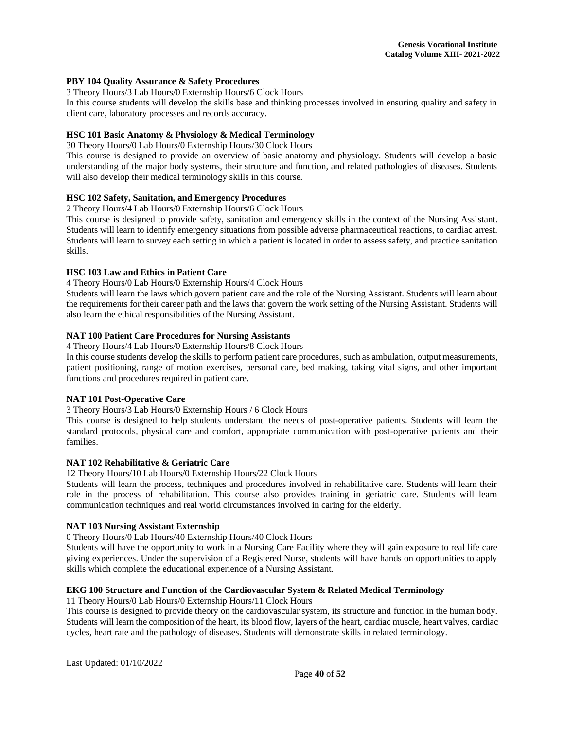## **PBY 104 Quality Assurance & Safety Procedures**

3 Theory Hours/3 Lab Hours/0 Externship Hours/6 Clock Hours

In this course students will develop the skills base and thinking processes involved in ensuring quality and safety in client care, laboratory processes and records accuracy.

## **HSC 101 Basic Anatomy & Physiology & Medical Terminology**

30 Theory Hours/0 Lab Hours/0 Externship Hours/30 Clock Hours

This course is designed to provide an overview of basic anatomy and physiology. Students will develop a basic understanding of the major body systems, their structure and function, and related pathologies of diseases. Students will also develop their medical terminology skills in this course.

## **HSC 102 Safety, Sanitation, and Emergency Procedures**

2 Theory Hours/4 Lab Hours/0 Externship Hours/6 Clock Hours

This course is designed to provide safety, sanitation and emergency skills in the context of the Nursing Assistant. Students will learn to identify emergency situations from possible adverse pharmaceutical reactions, to cardiac arrest. Students will learn to survey each setting in which a patient is located in order to assess safety, and practice sanitation skills.

## **HSC 103 Law and Ethics in Patient Care**

4 Theory Hours/0 Lab Hours/0 Externship Hours/4 Clock Hours

Students will learn the laws which govern patient care and the role of the Nursing Assistant. Students will learn about the requirements for their career path and the laws that govern the work setting of the Nursing Assistant. Students will also learn the ethical responsibilities of the Nursing Assistant.

## **NAT 100 Patient Care Procedures for Nursing Assistants**

4 Theory Hours/4 Lab Hours/0 Externship Hours/8 Clock Hours

In this course students develop the skills to perform patient care procedures, such as ambulation, output measurements, patient positioning, range of motion exercises, personal care, bed making, taking vital signs, and other important functions and procedures required in patient care.

## **NAT 101 Post-Operative Care**

3 Theory Hours/3 Lab Hours/0 Externship Hours / 6 Clock Hours

This course is designed to help students understand the needs of post-operative patients. Students will learn the standard protocols, physical care and comfort, appropriate communication with post-operative patients and their families.

#### **NAT 102 Rehabilitative & Geriatric Care**

12 Theory Hours/10 Lab Hours/0 Externship Hours/22 Clock Hours

Students will learn the process, techniques and procedures involved in rehabilitative care. Students will learn their role in the process of rehabilitation. This course also provides training in geriatric care. Students will learn communication techniques and real world circumstances involved in caring for the elderly.

## **NAT 103 Nursing Assistant Externship**

0 Theory Hours/0 Lab Hours/40 Externship Hours/40 Clock Hours

Students will have the opportunity to work in a Nursing Care Facility where they will gain exposure to real life care giving experiences. Under the supervision of a Registered Nurse, students will have hands on opportunities to apply skills which complete the educational experience of a Nursing Assistant.

## **EKG 100 Structure and Function of the Cardiovascular System & Related Medical Terminology**

11 Theory Hours/0 Lab Hours/0 Externship Hours/11 Clock Hours

This course is designed to provide theory on the cardiovascular system, its structure and function in the human body. Students will learn the composition of the heart, its blood flow, layers of the heart, cardiac muscle, heart valves, cardiac cycles, heart rate and the pathology of diseases. Students will demonstrate skills in related terminology.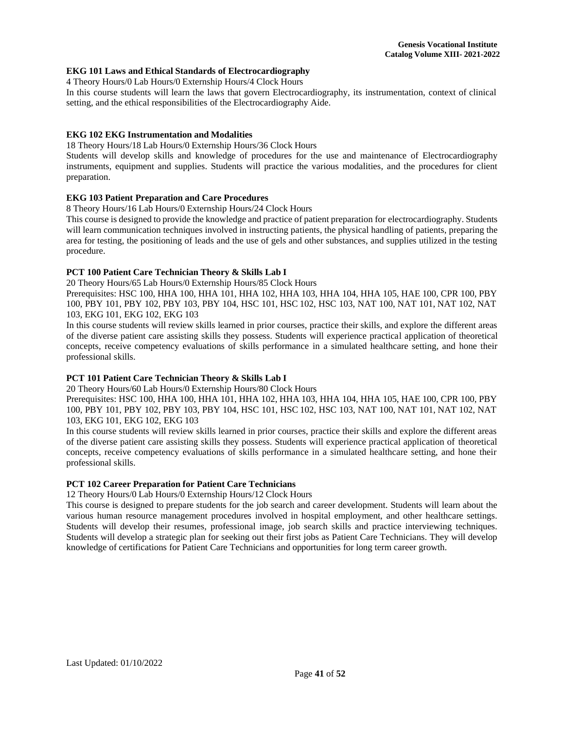## **EKG 101 Laws and Ethical Standards of Electrocardiography**

4 Theory Hours/0 Lab Hours/0 Externship Hours/4 Clock Hours

In this course students will learn the laws that govern Electrocardiography, its instrumentation, context of clinical setting, and the ethical responsibilities of the Electrocardiography Aide.

## **EKG 102 EKG Instrumentation and Modalities**

18 Theory Hours/18 Lab Hours/0 Externship Hours/36 Clock Hours

Students will develop skills and knowledge of procedures for the use and maintenance of Electrocardiography instruments, equipment and supplies. Students will practice the various modalities, and the procedures for client preparation.

## **EKG 103 Patient Preparation and Care Procedures**

8 Theory Hours/16 Lab Hours/0 Externship Hours/24 Clock Hours

This course is designed to provide the knowledge and practice of patient preparation for electrocardiography. Students will learn communication techniques involved in instructing patients, the physical handling of patients, preparing the area for testing, the positioning of leads and the use of gels and other substances, and supplies utilized in the testing procedure.

#### **PCT 100 Patient Care Technician Theory & Skills Lab I**

20 Theory Hours/65 Lab Hours/0 Externship Hours/85 Clock Hours

Prerequisites: HSC 100, HHA 100, HHA 101, HHA 102, HHA 103, HHA 104, HHA 105, HAE 100, CPR 100, PBY 100, PBY 101, PBY 102, PBY 103, PBY 104, HSC 101, HSC 102, HSC 103, NAT 100, NAT 101, NAT 102, NAT 103, EKG 101, EKG 102, EKG 103

In this course students will review skills learned in prior courses, practice their skills, and explore the different areas of the diverse patient care assisting skills they possess. Students will experience practical application of theoretical concepts, receive competency evaluations of skills performance in a simulated healthcare setting, and hone their professional skills.

#### **PCT 101 Patient Care Technician Theory & Skills Lab I**

20 Theory Hours/60 Lab Hours/0 Externship Hours/80 Clock Hours

Prerequisites: HSC 100, HHA 100, HHA 101, HHA 102, HHA 103, HHA 104, HHA 105, HAE 100, CPR 100, PBY 100, PBY 101, PBY 102, PBY 103, PBY 104, HSC 101, HSC 102, HSC 103, NAT 100, NAT 101, NAT 102, NAT 103, EKG 101, EKG 102, EKG 103

In this course students will review skills learned in prior courses, practice their skills and explore the different areas of the diverse patient care assisting skills they possess. Students will experience practical application of theoretical concepts, receive competency evaluations of skills performance in a simulated healthcare setting, and hone their professional skills.

#### **PCT 102 Career Preparation for Patient Care Technicians**

12 Theory Hours/0 Lab Hours/0 Externship Hours/12 Clock Hours

This course is designed to prepare students for the job search and career development. Students will learn about the various human resource management procedures involved in hospital employment, and other healthcare settings. Students will develop their resumes, professional image, job search skills and practice interviewing techniques. Students will develop a strategic plan for seeking out their first jobs as Patient Care Technicians. They will develop knowledge of certifications for Patient Care Technicians and opportunities for long term career growth.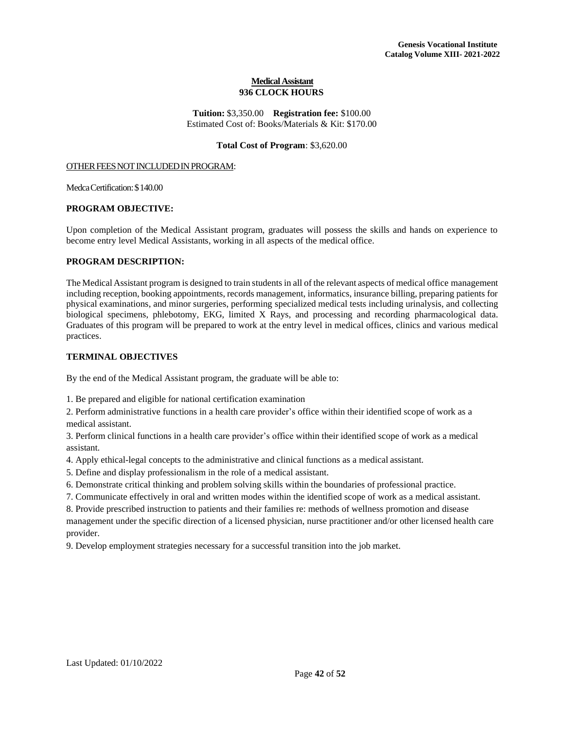## **Medical Assistant 936 CLOCK HOURS**

**Tuition:** \$3,350.00 **Registration fee:** \$100.00 Estimated Cost of: Books/Materials & Kit: \$170.00

#### **Total Cost of Program**: \$3,620.00

#### OTHER FEES NOT INCLUDED IN PROGRAM:

MedcaCertification:\$140.00

#### **PROGRAM OBJECTIVE:**

Upon completion of the Medical Assistant program, graduates will possess the skills and hands on experience to become entry level Medical Assistants, working in all aspects of the medical office.

## **PROGRAM DESCRIPTION:**

The Medical Assistant program is designed to train studentsin all of the relevant aspects of medical office management including reception, booking appointments, records management, informatics, insurance billing, preparing patients for physical examinations, and minor surgeries, performing specialized medical tests including urinalysis, and collecting biological specimens, phlebotomy, EKG, limited X Rays, and processing and recording pharmacological data. Graduates of this program will be prepared to work at the entry level in medical offices, clinics and various medical practices.

## **TERMINAL OBJECTIVES**

By the end of the Medical Assistant program, the graduate will be able to:

1. Be prepared and eligible for national certification examination

2. Perform administrative functions in a health care provider's office within their identified scope of work as a medical assistant.

3. Perform clinical functions in a health care provider's office within their identified scope of work as a medical assistant.

4. Apply ethical-legal concepts to the administrative and clinical functions as a medical assistant.

5. Define and display professionalism in the role of a medical assistant.

6. Demonstrate critical thinking and problem solving skills within the boundaries of professional practice.

7. Communicate effectively in oral and written modes within the identified scope of work as a medical assistant.

8. Provide prescribed instruction to patients and their families re: methods of wellness promotion and disease management under the specific direction of a licensed physician, nurse practitioner and/or other licensed health care provider.

9. Develop employment strategies necessary for a successful transition into the job market.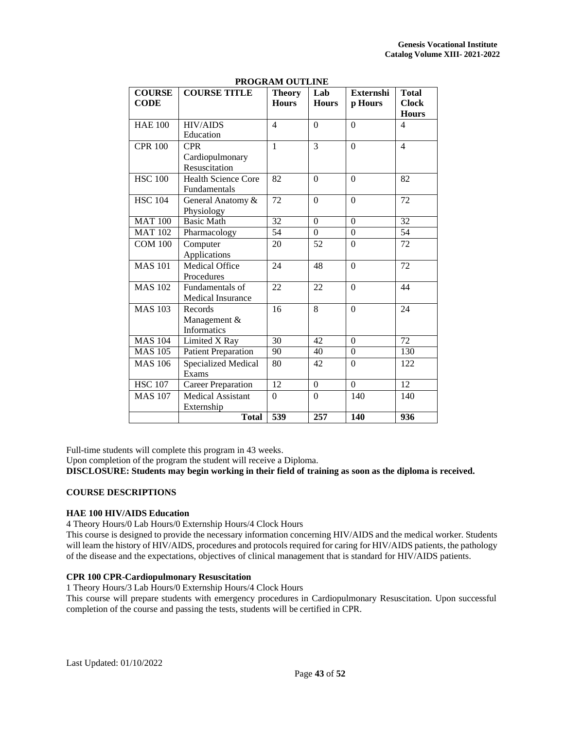| <b>COURSE</b>             | <b>COURSE TITLE</b>        | LINOORAM OUTERUE<br><b>Theory</b> | Lab            | <b>Externshi</b> | <b>Total</b>     |
|---------------------------|----------------------------|-----------------------------------|----------------|------------------|------------------|
| <b>CODE</b>               |                            | <b>Hours</b>                      | <b>Hours</b>   | p Hours          | <b>Clock</b>     |
|                           |                            |                                   |                |                  | <b>Hours</b>     |
| <b>HAE 100</b>            | <b>HIV/AIDS</b>            | $\overline{\mathcal{L}}$          | $\overline{0}$ | $\theta$         | $\overline{4}$   |
|                           | Education                  |                                   |                |                  |                  |
| <b>CPR 100</b>            | <b>CPR</b>                 | $\mathbf{1}$                      | 3              | $\overline{0}$   | $\overline{4}$   |
|                           | Cardiopulmonary            |                                   |                |                  |                  |
|                           | Resuscitation              |                                   |                |                  |                  |
| <b>HSC 100</b>            | <b>Health Science Core</b> | 82                                | $\overline{0}$ | $\theta$         | 82               |
|                           | Fundamentals               |                                   |                |                  |                  |
| <b>HSC 104</b>            | General Anatomy &          | 72                                | $\overline{0}$ | $\overline{0}$   | 72               |
|                           | Physiology                 |                                   |                |                  |                  |
| <b>MAT 100</b>            | <b>Basic Math</b>          | 32                                | $\theta$       | $\theta$         | $\overline{32}$  |
| <b>MAT 102</b>            | Pharmacology               | 54                                | $\overline{0}$ | $\overline{0}$   | 54               |
| <b>COM 100</b>            | Computer                   | 20                                | 52             | $\theta$         | 72               |
|                           | Applications               |                                   |                |                  |                  |
| <b>MAS 101</b>            | <b>Medical Office</b>      | 24                                | 48             | $\theta$         | 72               |
|                           | Procedures                 |                                   |                |                  |                  |
| <b>MAS 102</b>            | Fundamentals of            | 22                                | 22             | $\theta$         | 44               |
|                           | Medical Insurance          |                                   |                |                  |                  |
| <b>MAS 103</b>            | Records                    | 16                                | 8              | $\theta$         | 24               |
|                           | Management &               |                                   |                |                  |                  |
|                           | <b>Informatics</b>         |                                   |                |                  |                  |
| <b>MAS 104</b>            | Limited X Ray              | 30                                | 42             | $\theta$         | $\overline{72}$  |
| $\overline{\rm M}$ AS 105 | <b>Patient Preparation</b> | 90                                | 40             | $\overline{0}$   | 130              |
| <b>MAS 106</b>            | <b>Specialized Medical</b> | 80                                | 42             | $\mathbf{0}$     | 122              |
|                           | Exams                      |                                   |                |                  |                  |
| <b>HSC 107</b>            | <b>Career Preparation</b>  | 12                                | $\overline{0}$ | $\overline{0}$   | 12               |
| <b>MAS 107</b>            | Medical Assistant          | $\theta$                          | $\overline{0}$ | 140              | 140              |
|                           | Externship                 |                                   |                |                  |                  |
|                           | <b>Total</b>               | $\overline{539}$                  | 257            | <b>140</b>       | $\overline{936}$ |

## **PROGRAM OUTLINE**

Full-time students will complete this program in 43 weeks.

Upon completion of the program the student will receive a Diploma.

**DISCLOSURE: Students may begin working in their field of training as soon as the diploma is received.**

## **COURSE DESCRIPTIONS**

## **HAE 100 HIV/AIDS Education**

4 Theory Hours/0 Lab Hours/0 Externship Hours/4 Clock Hours

This course is designed to provide the necessary information concerning HIV/AIDS and the medical worker. Students will learn the history of HIV/AIDS, procedures and protocols required for caring for HIV/AIDS patients, the pathology of the disease and the expectations, objectives of clinical management that is standard for HIV/AIDS patients.

## **CPR 100 CPR-Cardiopulmonary Resuscitation**

1 Theory Hours/3 Lab Hours/0 Externship Hours/4 Clock Hours

This course will prepare students with emergency procedures in Cardiopulmonary Resuscitation. Upon successful completion of the course and passing the tests, students will be certified in CPR.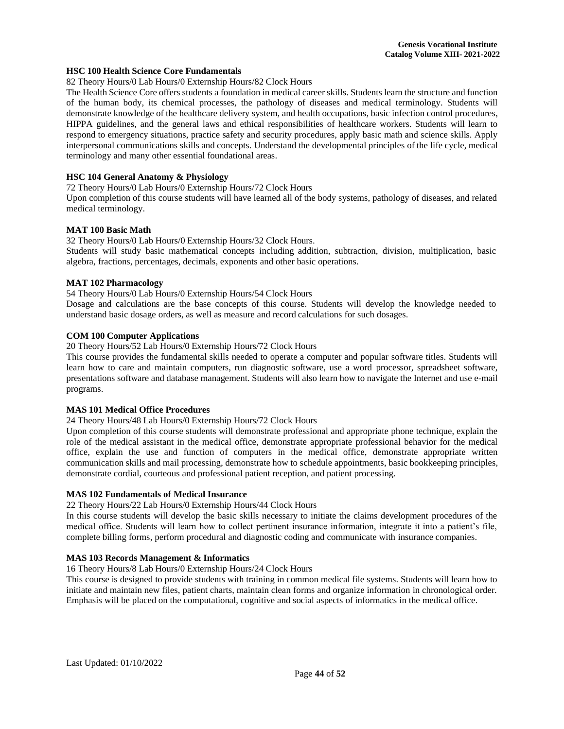## **HSC 100 Health Science Core Fundamentals**

82 Theory Hours/0 Lab Hours/0 Externship Hours/82 Clock Hours

The Health Science Core offers students a foundation in medical career skills. Students learn the structure and function of the human body, its chemical processes, the pathology of diseases and medical terminology. Students will demonstrate knowledge of the healthcare delivery system, and health occupations, basic infection control procedures, HIPPA guidelines, and the general laws and ethical responsibilities of healthcare workers. Students will learn to respond to emergency situations, practice safety and security procedures, apply basic math and science skills. Apply interpersonal communications skills and concepts. Understand the developmental principles of the life cycle, medical terminology and many other essential foundational areas.

#### **HSC 104 General Anatomy & Physiology**

72 Theory Hours/0 Lab Hours/0 Externship Hours/72 Clock Hours

Upon completion of this course students will have learned all of the body systems, pathology of diseases, and related medical terminology.

#### **MAT 100 Basic Math**

32 Theory Hours/0 Lab Hours/0 Externship Hours/32 Clock Hours.

Students will study basic mathematical concepts including addition, subtraction, division, multiplication, basic algebra, fractions, percentages, decimals, exponents and other basic operations.

#### **MAT 102 Pharmacology**

54 Theory Hours/0 Lab Hours/0 Externship Hours/54 Clock Hours

Dosage and calculations are the base concepts of this course. Students will develop the knowledge needed to understand basic dosage orders, as well as measure and record calculations for such dosages.

## **COM 100 Computer Applications**

20 Theory Hours/52 Lab Hours/0 Externship Hours/72 Clock Hours

This course provides the fundamental skills needed to operate a computer and popular software titles. Students will learn how to care and maintain computers, run diagnostic software, use a word processor, spreadsheet software, presentations software and database management. Students will also learn how to navigate the Internet and use e-mail programs.

## **MAS 101 Medical Office Procedures**

24 Theory Hours/48 Lab Hours/0 Externship Hours/72 Clock Hours

Upon completion of this course students will demonstrate professional and appropriate phone technique, explain the role of the medical assistant in the medical office, demonstrate appropriate professional behavior for the medical office, explain the use and function of computers in the medical office, demonstrate appropriate written communication skills and mail processing, demonstrate how to schedule appointments, basic bookkeeping principles, demonstrate cordial, courteous and professional patient reception, and patient processing.

#### **MAS 102 Fundamentals of Medical Insurance**

22 Theory Hours/22 Lab Hours/0 Externship Hours/44 Clock Hours

In this course students will develop the basic skills necessary to initiate the claims development procedures of the medical office. Students will learn how to collect pertinent insurance information, integrate it into a patient's file, complete billing forms, perform procedural and diagnostic coding and communicate with insurance companies.

#### **MAS 103 Records Management & Informatics**

16 Theory Hours/8 Lab Hours/0 Externship Hours/24 Clock Hours

This course is designed to provide students with training in common medical file systems. Students will learn how to initiate and maintain new files, patient charts, maintain clean forms and organize information in chronological order. Emphasis will be placed on the computational, cognitive and social aspects of informatics in the medical office.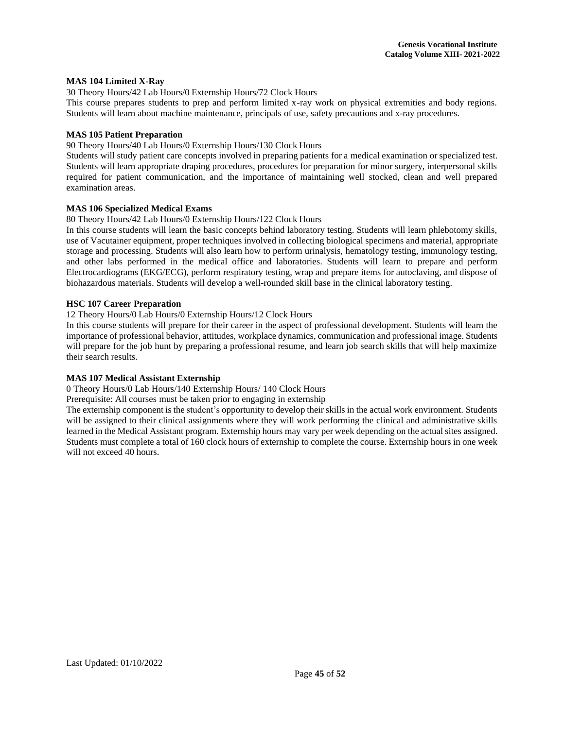## **MAS 104 Limited X-Ray**

30 Theory Hours/42 Lab Hours/0 Externship Hours/72 Clock Hours

This course prepares students to prep and perform limited x-ray work on physical extremities and body regions. Students will learn about machine maintenance, principals of use, safety precautions and x-ray procedures.

## **MAS 105 Patient Preparation**

90 Theory Hours/40 Lab Hours/0 Externship Hours/130 Clock Hours

Students will study patient care concepts involved in preparing patients for a medical examination or specialized test. Students will learn appropriate draping procedures, procedures for preparation for minor surgery, interpersonal skills required for patient communication, and the importance of maintaining well stocked, clean and well prepared examination areas.

#### **MAS 106 Specialized Medical Exams**

#### 80 Theory Hours/42 Lab Hours/0 Externship Hours/122 Clock Hours

In this course students will learn the basic concepts behind laboratory testing. Students will learn phlebotomy skills, use of Vacutainer equipment, proper techniques involved in collecting biological specimens and material, appropriate storage and processing. Students will also learn how to perform urinalysis, hematology testing, immunology testing, and other labs performed in the medical office and laboratories. Students will learn to prepare and perform Electrocardiograms (EKG/ECG), perform respiratory testing, wrap and prepare items for autoclaving, and dispose of biohazardous materials. Students will develop a well-rounded skill base in the clinical laboratory testing.

## **HSC 107 Career Preparation**

#### 12 Theory Hours/0 Lab Hours/0 Externship Hours/12 Clock Hours

In this course students will prepare for their career in the aspect of professional development. Students will learn the importance of professional behavior, attitudes, workplace dynamics, communication and professional image. Students will prepare for the job hunt by preparing a professional resume, and learn job search skills that will help maximize their search results.

## **MAS 107 Medical Assistant Externship**

0 Theory Hours/0 Lab Hours/140 Externship Hours/ 140 Clock Hours

Prerequisite: All courses must be taken prior to engaging in externship

The externship component is the student's opportunity to develop their skills in the actual work environment. Students will be assigned to their clinical assignments where they will work performing the clinical and administrative skills learned in the Medical Assistant program. Externship hours may vary per week depending on the actual sites assigned. Students must complete a total of 160 clock hours of externship to complete the course. Externship hours in one week will not exceed 40 hours.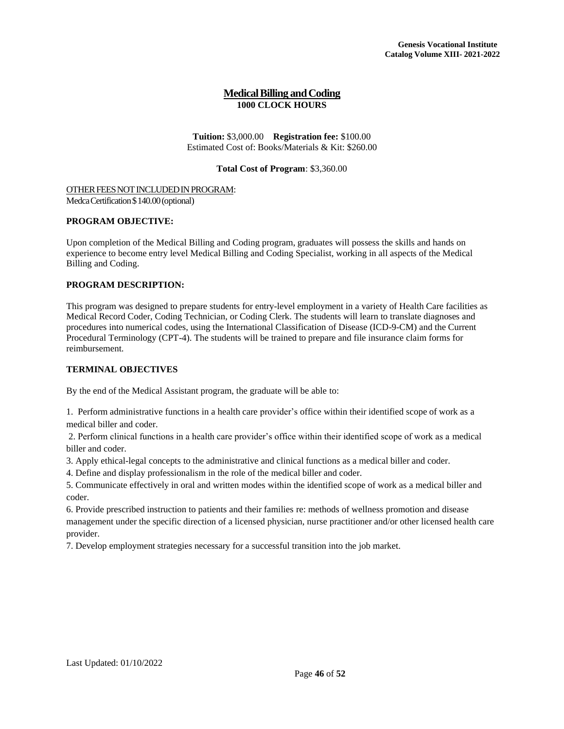## **MedicalBilling andCoding 1000 CLOCK HOURS**

**Tuition:** \$3,000.00 **Registration fee:** \$100.00 Estimated Cost of: Books/Materials & Kit: \$260.00

## **Total Cost of Program**: \$3,360.00

<span id="page-46-0"></span>OTHER FEES NOT INCLUDED IN PROGRAM: Medca Certification \$140.00 (optional)

## **PROGRAM OBJECTIVE:**

Upon completion of the Medical Billing and Coding program, graduates will possess the skills and hands on experience to become entry level Medical Billing and Coding Specialist, working in all aspects of the Medical Billing and Coding.

## **PROGRAM DESCRIPTION:**

This program was designed to prepare students for entry-level employment in a variety of Health Care facilities as Medical Record Coder, Coding Technician, or Coding Clerk. The students will learn to translate diagnoses and procedures into numerical codes, using the International Classification of Disease (ICD-9-CM) and the Current Procedural Terminology (CPT-4). The students will be trained to prepare and file insurance claim forms for reimbursement.

## **TERMINAL OBJECTIVES**

By the end of the Medical Assistant program, the graduate will be able to:

1. Perform administrative functions in a health care provider's office within their identified scope of work as a medical biller and coder.

2. Perform clinical functions in a health care provider's office within their identified scope of work as a medical biller and coder.

3. Apply ethical-legal concepts to the administrative and clinical functions as a medical biller and coder.

4. Define and display professionalism in the role of the medical biller and coder.

5. Communicate effectively in oral and written modes within the identified scope of work as a medical biller and coder.

6. Provide prescribed instruction to patients and their families re: methods of wellness promotion and disease management under the specific direction of a licensed physician, nurse practitioner and/or other licensed health care provider.

7. Develop employment strategies necessary for a successful transition into the job market.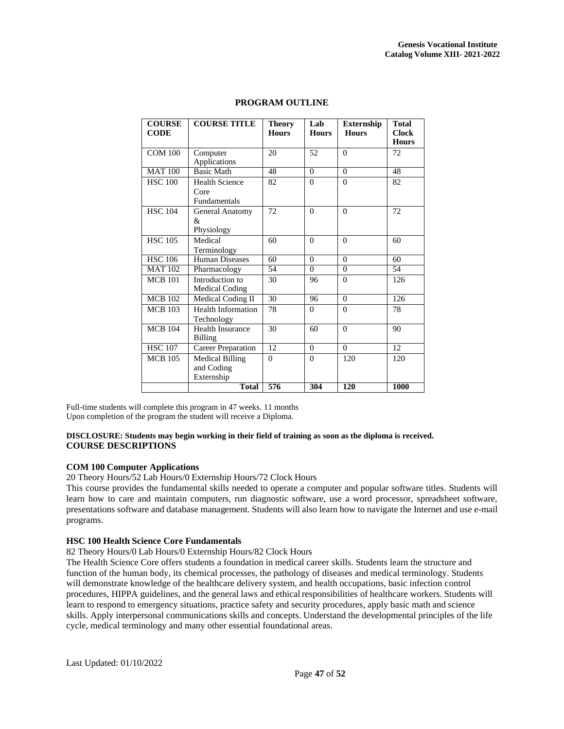| <b>COURSE</b><br><b>CODE</b> | <b>COURSE TITLE</b>                                  | <b>Theory</b><br><b>Hours</b> | Lab<br><b>Hours</b> | <b>Externship</b><br><b>Hours</b> | <b>Total</b><br><b>Clock</b><br><b>Hours</b> |
|------------------------------|------------------------------------------------------|-------------------------------|---------------------|-----------------------------------|----------------------------------------------|
| <b>COM 100</b>               | Computer<br>Applications                             | 20                            | 52                  | $\theta$                          | 72                                           |
| <b>MAT 100</b>               | <b>Basic Math</b>                                    | 48                            | $\overline{0}$      | $\overline{0}$                    | 48                                           |
| <b>HSC 100</b>               | <b>Health Science</b><br>Core<br><b>Fundamentals</b> | 82                            | $\Omega$            | $\Omega$                          | 82                                           |
| <b>HSC 104</b>               | <b>General Anatomy</b><br>&<br>Physiology            | 72                            | $\Omega$            | $\Omega$                          | 72                                           |
| <b>HSC 105</b>               | Medical<br>Terminology                               | 60                            | $\theta$            | $\theta$                          | 60                                           |
| <b>HSC 106</b>               | <b>Human Diseases</b>                                | 60                            | $\Omega$            | $\theta$                          | 60                                           |
| <b>MAT 102</b>               | Pharmacology                                         | 54                            | $\Omega$            | $\Omega$                          | 54                                           |
| <b>MCB</b> 101               | Introduction to<br>Medical Coding                    | 30                            | 96                  | $\Omega$                          | 126                                          |
| <b>MCB 102</b>               | Medical Coding II                                    | 30                            | 96                  | $\Omega$                          | 126                                          |
| <b>MCB</b> 103               | <b>Health Information</b><br>Technology              | 78                            | $\Omega$            | $\Omega$                          | 78                                           |
| <b>MCB 104</b>               | <b>Health Insurance</b><br><b>Billing</b>            | 30                            | 60                  | $\Omega$                          | 90                                           |
| <b>HSC 107</b>               | <b>Career Preparation</b>                            | 12                            | $\Omega$            | $\theta$                          | 12                                           |
| <b>MCB</b> 105               | <b>Medical Billing</b><br>and Coding<br>Externship   | $\theta$                      | $\Omega$            | 120                               | 120                                          |
|                              | <b>Total</b>                                         | 576                           | 304                 | 120                               | 1000                                         |

## **PROGRAM OUTLINE**

Full-time students will complete this program in 47 weeks. 11 months Upon completion of the program the student will receive a Diploma.

## **DISCLOSURE: Students may begin working in their field of training as soon as the diploma is received. COURSE DESCRIPTIONS**

## **COM 100 Computer Applications**

20 Theory Hours/52 Lab Hours/0 Externship Hours/72 Clock Hours

This course provides the fundamental skills needed to operate a computer and popular software titles. Students will learn how to care and maintain computers, run diagnostic software, use a word processor, spreadsheet software, presentations software and database management. Students will also learn how to navigate the Internet and use e-mail programs.

#### **HSC 100 Health Science Core Fundamentals**

82 Theory Hours/0 Lab Hours/0 Externship Hours/82 Clock Hours

The Health Science Core offers students a foundation in medical career skills. Students learn the structure and function of the human body, its chemical processes, the pathology of diseases and medical terminology. Students will demonstrate knowledge of the healthcare delivery system, and health occupations, basic infection control procedures, HIPPA guidelines, and the general laws and ethical responsibilities of healthcare workers. Students will learn to respond to emergency situations, practice safety and security procedures, apply basic math and science skills. Apply interpersonal communications skills and concepts. Understand the developmental principles of the life cycle, medical terminology and many other essential foundational areas.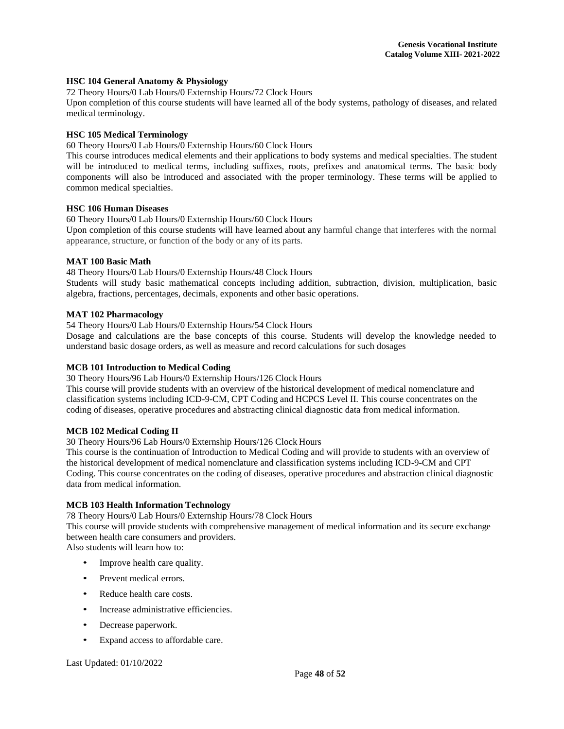## **HSC 104 General Anatomy & Physiology**

72 Theory Hours/0 Lab Hours/0 Externship Hours/72 Clock Hours

Upon completion of this course students will have learned all of the body systems, pathology of diseases, and related medical terminology.

## **HSC 105 Medical Terminology**

60 Theory Hours/0 Lab Hours/0 Externship Hours/60 Clock Hours

This course introduces medical elements and their applications to body systems and medical specialties. The student will be introduced to medical terms, including suffixes, roots, prefixes and anatomical terms. The basic body components will also be introduced and associated with the proper terminology. These terms will be applied to common medical specialties.

#### **HSC 106 Human Diseases**

60 Theory Hours/0 Lab Hours/0 Externship Hours/60 Clock Hours

Upon completion of this course students will have learned about any harmful change that interferes with the normal appearance, structure, or function of the body or any of its parts.

#### **MAT 100 Basic Math**

48 Theory Hours/0 Lab Hours/0 Externship Hours/48 Clock Hours

Students will study basic mathematical concepts including addition, subtraction, division, multiplication, basic algebra, fractions, percentages, decimals, exponents and other basic operations.

#### **MAT 102 Pharmacology**

54 Theory Hours/0 Lab Hours/0 Externship Hours/54 Clock Hours

Dosage and calculations are the base concepts of this course. Students will develop the knowledge needed to understand basic dosage orders, as well as measure and record calculations for such dosages

#### **MCB 101 Introduction to Medical Coding**

30 Theory Hours/96 Lab Hours/0 Externship Hours/126 Clock Hours

This course will provide students with an overview of the historical development of medical nomenclature and classification systems including ICD-9-CM, CPT Coding and HCPCS Level II. This course concentrates on the coding of diseases, operative procedures and abstracting clinical diagnostic data from medical information.

#### **MCB 102 Medical Coding II**

30 Theory Hours/96 Lab Hours/0 Externship Hours/126 Clock Hours

This course is the continuation of Introduction to Medical Coding and will provide to students with an overview of the historical development of medical nomenclature and classification systems including ICD-9-CM and CPT Coding. This course concentrates on the coding of diseases, operative procedures and abstraction clinical diagnostic data from medical information.

#### **MCB 103 Health Information Technology**

78 Theory Hours/0 Lab Hours/0 Externship Hours/78 Clock Hours

This course will provide students with comprehensive management of medical information and its secure exchange between health care consumers and providers.

Also students will learn how to:

- Improve health care quality.
- Prevent medical errors.
- Reduce health care costs.
- Increase administrative efficiencies.
- Decrease paperwork.
- Expand access to affordable care.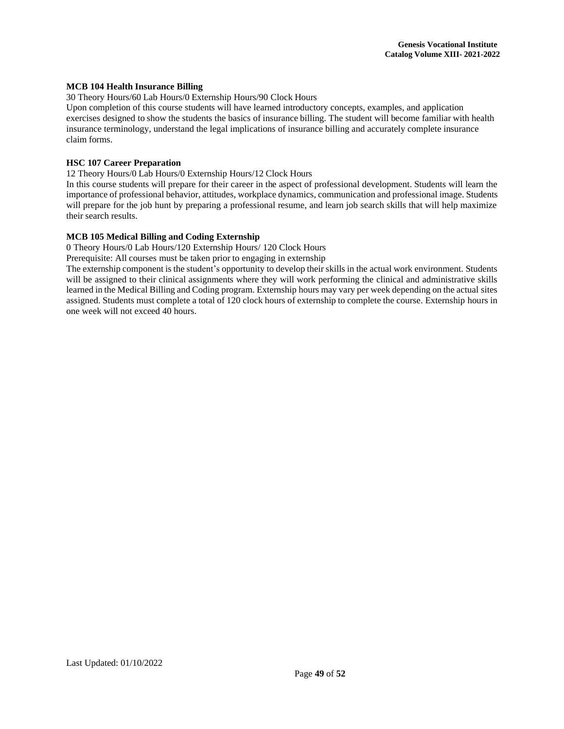### **MCB 104 Health Insurance Billing**

30 Theory Hours/60 Lab Hours/0 Externship Hours/90 Clock Hours

Upon completion of this course students will have learned introductory concepts, examples, and application exercises designed to show the students the basics of insurance billing. The student will become familiar with health insurance terminology, understand the legal implications of insurance billing and accurately complete insurance claim forms.

## **HSC 107 Career Preparation**

12 Theory Hours/0 Lab Hours/0 Externship Hours/12 Clock Hours

In this course students will prepare for their career in the aspect of professional development. Students will learn the importance of professional behavior, attitudes, workplace dynamics, communication and professional image. Students will prepare for the job hunt by preparing a professional resume, and learn job search skills that will help maximize their search results.

## **MCB 105 Medical Billing and Coding Externship**

0 Theory Hours/0 Lab Hours/120 Externship Hours/ 120 Clock Hours

Prerequisite: All courses must be taken prior to engaging in externship

The externship component is the student's opportunity to develop their skills in the actual work environment. Students will be assigned to their clinical assignments where they will work performing the clinical and administrative skills learned in the Medical Billing and Coding program. Externship hours may vary per week depending on the actual sites assigned. Students must complete a total of 120 clock hours of externship to complete the course. Externship hours in one week will not exceed 40 hours.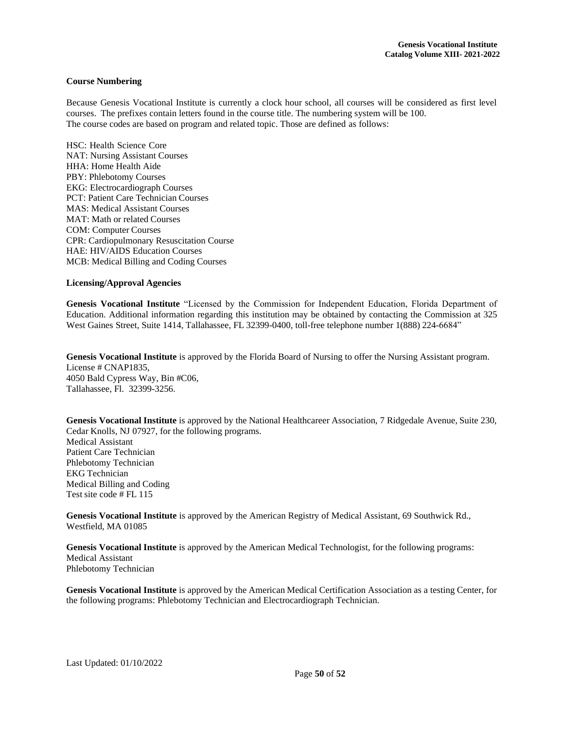## <span id="page-50-0"></span>**Course Numbering**

Because Genesis Vocational Institute is currently a clock hour school, all courses will be considered as first level courses. The prefixes contain letters found in the course title. The numbering system will be 100. The course codes are based on program and related topic. Those are defined as follows:

HSC: Health Science Core NAT: Nursing Assistant Courses HHA: Home Health Aide PBY: Phlebotomy Courses EKG: Electrocardiograph Courses PCT: Patient Care Technician Courses MAS: Medical Assistant Courses MAT: Math or related Courses COM: Computer Courses CPR: Cardiopulmonary Resuscitation Course HAE: HIV/AIDS Education Courses MCB: Medical Billing and Coding Courses

#### <span id="page-50-1"></span>**Licensing/Approval Agencies**

**Genesis Vocational Institute** "Licensed by the Commission for Independent Education, Florida Department of Education. Additional information regarding this institution may be obtained by contacting the Commission at 325 West Gaines Street, Suite 1414, Tallahassee, FL 32399-0400, toll-free telephone number 1(888) 224-6684"

**Genesis Vocational Institute** is approved by the Florida Board of Nursing to offer the Nursing Assistant program. License # CNAP1835, 4050 Bald Cypress Way, Bin #C06, Tallahassee, Fl. 32399-3256.

Genesis Vocational Institute is approved by the National Healthcareer Association, 7 Ridgedale Avenue, Suite 230, Cedar Knolls, NJ 07927, for the following programs. Medical Assistant Patient Care Technician Phlebotomy Technician EKG Technician Medical Billing and Coding Test site code # FL 115

**Genesis Vocational Institute** is approved by the American Registry of Medical Assistant, 69 Southwick Rd., Westfield, MA 01085

**Genesis Vocational Institute** is approved by the American Medical Technologist, for the following programs: Medical Assistant Phlebotomy Technician

**Genesis Vocational Institute** is approved by the American Medical Certification Association as a testing Center, for the following programs: Phlebotomy Technician and Electrocardiograph Technician.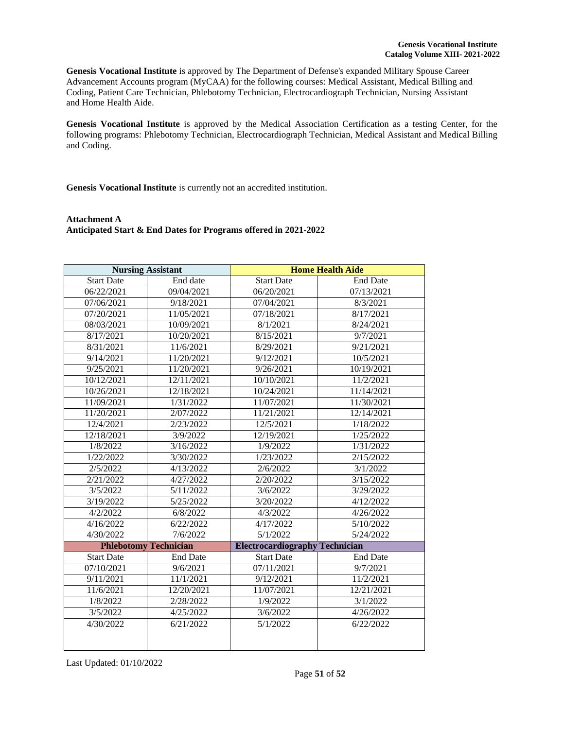**Genesis Vocational Institute** is approved by The Department of Defense's expanded Military Spouse Career Advancement Accounts program (MyCAA) for the following courses: Medical Assistant, Medical Billing and Coding, Patient Care Technician, Phlebotomy Technician, Electrocardiograph Technician, Nursing Assistant and Home Health Aide.

**Genesis Vocational Institute** is approved by the Medical Association Certification as a testing Center, for the following programs: Phlebotomy Technician, Electrocardiograph Technician, Medical Assistant and Medical Billing and Coding.

**Genesis Vocational Institute** is currently not an accredited institution.

## <span id="page-51-0"></span>**Attachment A Anticipated Start & End Dates for Programs offered in 2021-2022**

| <b>Nursing Assistant</b>     |                 | <b>Home Health Aide</b>               |                 |  |
|------------------------------|-----------------|---------------------------------------|-----------------|--|
| <b>Start Date</b>            | End date        | <b>Start Date</b>                     | <b>End Date</b> |  |
| 06/22/2021                   | 09/04/2021      | 06/20/2021                            | 07/13/2021      |  |
| 07/06/2021                   | 9/18/2021       | 07/04/2021                            | 8/3/2021        |  |
| 07/20/2021                   | 11/05/2021      | 07/18/2021                            | 8/17/2021       |  |
| 08/03/2021                   | 10/09/2021      | 8/1/2021                              | 8/24/2021       |  |
| 8/17/2021                    | 10/20/2021      | 8/15/2021                             | 9/7/2021        |  |
| 8/31/2021                    | 11/6/2021       | 8/29/2021                             | 9/21/2021       |  |
| 9/14/2021                    | 11/20/2021      | 9/12/2021                             | 10/5/2021       |  |
| 9/25/2021                    | 11/20/2021      | 9/26/2021                             | 10/19/2021      |  |
| 10/12/2021                   | 12/11/2021      | 10/10/2021                            | 11/2/2021       |  |
| 10/26/2021                   | 12/18/2021      | 10/24/2021                            | 11/14/2021      |  |
| 11/09/2021                   | 1/31/2022       | 11/07/2021                            | 11/30/2021      |  |
| 11/20/2021                   | 2/07/2022       | 11/21/2021                            | 12/14/2021      |  |
| 12/4/2021                    | 2/23/2022       | 12/5/2021                             | 1/18/2022       |  |
| 12/18/2021                   | 3/9/2022        | 12/19/2021                            | 1/25/2022       |  |
| 1/8/2022                     | 3/16/2022       | 1/9/2022                              | 1/31/2022       |  |
| 1/22/2022                    | 3/30/2022       | 1/23/2022                             | 2/15/2022       |  |
| 2/5/2022                     | 4/13/2022       | 2/6/2022                              | 3/1/2022        |  |
| 2/21/2022                    | 4/27/2022       | 2/20/2022                             | 3/15/2022       |  |
| 3/5/2022                     | 5/11/2022       | 3/6/2022                              | 3/29/2022       |  |
| 3/19/2022                    | 5/25/2022       | 3/20/2022                             | 4/12/2022       |  |
| 4/2/2022                     | 6/8/2022        | 4/3/2022                              | 4/26/2022       |  |
| 4/16/2022                    | 6/22/2022       | 4/17/2022                             | 5/10/2022       |  |
| 4/30/2022                    | 7/6/2022        | 5/1/2022                              | 5/24/2022       |  |
| <b>Phlebotomy Technician</b> |                 | <b>Electrocardiography Technician</b> |                 |  |
| <b>Start Date</b>            | <b>End Date</b> | Start Date                            | <b>End Date</b> |  |
| 07/10/2021                   | 9/6/2021        | 07/11/2021                            | 9/7/2021        |  |
| 9/11/2021                    | 11/1/2021       | 9/12/2021                             | 11/2/2021       |  |
| 11/6/2021                    | 12/20/2021      | 11/07/2021                            | 12/21/2021      |  |
| 1/8/2022                     | 2/28/2022       | 1/9/2022                              | 3/1/2022        |  |
| 3/5/2022                     | 4/25/2022       | 3/6/2022                              | 4/26/2022       |  |
| 4/30/2022                    | 6/21/2022       | 5/1/2022                              | 6/22/2022       |  |
|                              |                 |                                       |                 |  |